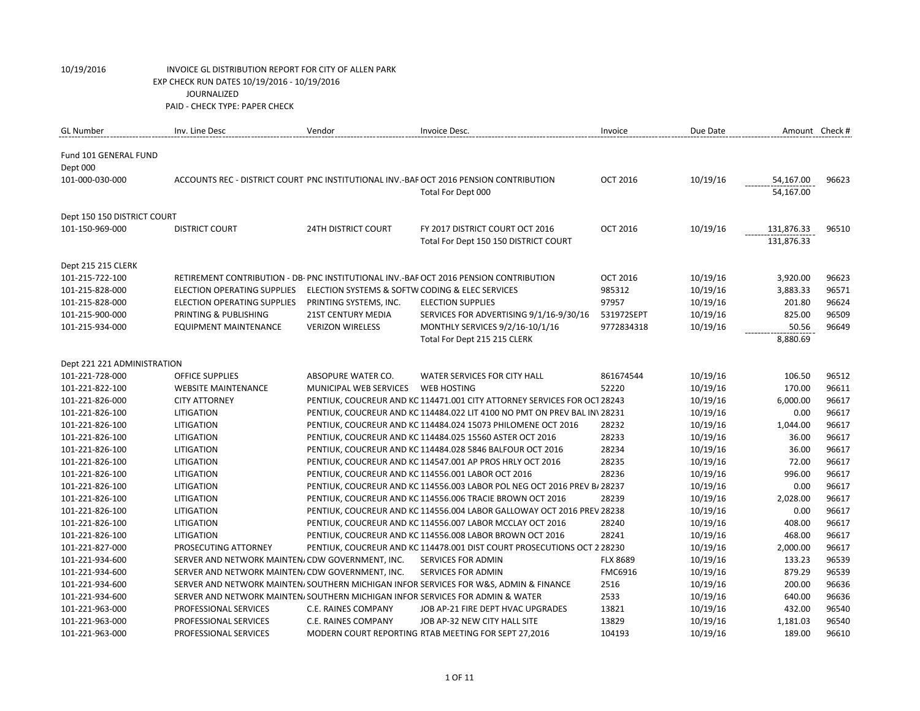| <b>GL Number</b>            | Inv. Line Desc                                                                 | Vendor                                          | Invoice Desc.                                                                          | Invoice         | Due Date | Amount Check # |       |
|-----------------------------|--------------------------------------------------------------------------------|-------------------------------------------------|----------------------------------------------------------------------------------------|-----------------|----------|----------------|-------|
|                             |                                                                                |                                                 |                                                                                        |                 |          |                |       |
| Fund 101 GENERAL FUND       |                                                                                |                                                 |                                                                                        |                 |          |                |       |
| Dept 000                    |                                                                                |                                                 |                                                                                        |                 |          |                |       |
| 101-000-030-000             |                                                                                |                                                 | ACCOUNTS REC - DISTRICT COURT PNC INSTITUTIONAL INV.-BAF OCT 2016 PENSION CONTRIBUTION | <b>OCT 2016</b> | 10/19/16 | 54,167.00      | 96623 |
|                             |                                                                                |                                                 | Total For Dept 000                                                                     |                 |          | 54,167.00      |       |
| Dept 150 150 DISTRICT COURT |                                                                                |                                                 |                                                                                        |                 |          |                |       |
| 101-150-969-000             | <b>DISTRICT COURT</b>                                                          | <b>24TH DISTRICT COURT</b>                      | FY 2017 DISTRICT COURT OCT 2016                                                        | <b>OCT 2016</b> | 10/19/16 | 131,876.33     | 96510 |
|                             |                                                                                |                                                 | Total For Dept 150 150 DISTRICT COURT                                                  |                 |          | 131,876.33     |       |
|                             |                                                                                |                                                 |                                                                                        |                 |          |                |       |
| Dept 215 215 CLERK          |                                                                                |                                                 |                                                                                        |                 |          |                |       |
| 101-215-722-100             |                                                                                |                                                 | RETIREMENT CONTRIBUTION - DB- PNC INSTITUTIONAL INV.-BAF OCT 2016 PENSION CONTRIBUTION | <b>OCT 2016</b> | 10/19/16 | 3,920.00       | 96623 |
| 101-215-828-000             | ELECTION OPERATING SUPPLIES                                                    | ELECTION SYSTEMS & SOFTW CODING & ELEC SERVICES |                                                                                        | 985312          | 10/19/16 | 3,883.33       | 96571 |
| 101-215-828-000             | ELECTION OPERATING SUPPLIES                                                    | PRINTING SYSTEMS, INC.                          | <b>ELECTION SUPPLIES</b>                                                               | 97957           | 10/19/16 | 201.80         | 96624 |
| 101-215-900-000             | PRINTING & PUBLISHING                                                          | <b>21ST CENTURY MEDIA</b>                       | SERVICES FOR ADVERTISING 9/1/16-9/30/16                                                | 531972SEPT      | 10/19/16 | 825.00         | 96509 |
| 101-215-934-000             | <b>EQUIPMENT MAINTENANCE</b>                                                   | <b>VERIZON WIRELESS</b>                         | MONTHLY SERVICES 9/2/16-10/1/16                                                        | 9772834318      | 10/19/16 | 50.56          | 96649 |
|                             |                                                                                |                                                 | Total For Dept 215 215 CLERK                                                           |                 |          | 8,880.69       |       |
|                             |                                                                                |                                                 |                                                                                        |                 |          |                |       |
| Dept 221 221 ADMINISTRATION |                                                                                |                                                 |                                                                                        |                 |          |                |       |
| 101-221-728-000             | <b>OFFICE SUPPLIES</b>                                                         | ABSOPURE WATER CO.                              | WATER SERVICES FOR CITY HALL                                                           | 861674544       | 10/19/16 | 106.50         | 96512 |
| 101-221-822-100             | <b>WEBSITE MAINTENANCE</b>                                                     | MUNICIPAL WEB SERVICES                          | <b>WEB HOSTING</b>                                                                     | 52220           | 10/19/16 | 170.00         | 96611 |
| 101-221-826-000             | <b>CITY ATTORNEY</b>                                                           |                                                 | PENTIUK, COUCREUR AND KC 114471.001 CITY ATTORNEY SERVICES FOR OCT 28243               |                 | 10/19/16 | 6,000.00       | 96617 |
| 101-221-826-100             | <b>LITIGATION</b>                                                              |                                                 | PENTIUK, COUCREUR AND KC 114484.022 LIT 4100 NO PMT ON PREV BAL IN\ 28231              |                 | 10/19/16 | 0.00           | 96617 |
| 101-221-826-100             | LITIGATION                                                                     |                                                 | PENTIUK, COUCREUR AND KC 114484.024 15073 PHILOMENE OCT 2016                           | 28232           | 10/19/16 | 1,044.00       | 96617 |
| 101-221-826-100             | <b>LITIGATION</b>                                                              |                                                 | PENTIUK, COUCREUR AND KC 114484.025 15560 ASTER OCT 2016                               | 28233           | 10/19/16 | 36.00          | 96617 |
| 101-221-826-100             | LITIGATION                                                                     |                                                 | PENTIUK, COUCREUR AND KC 114484.028 5846 BALFOUR OCT 2016                              | 28234           | 10/19/16 | 36.00          | 96617 |
| 101-221-826-100             | <b>LITIGATION</b>                                                              |                                                 | PENTIUK, COUCREUR AND KC 114547.001 AP PROS HRLY OCT 2016                              | 28235           | 10/19/16 | 72.00          | 96617 |
| 101-221-826-100             | LITIGATION                                                                     |                                                 | PENTIUK, COUCREUR AND KC 114556.001 LABOR OCT 2016                                     | 28236           | 10/19/16 | 996.00         | 96617 |
| 101-221-826-100             | <b>LITIGATION</b>                                                              |                                                 | PENTIUK, COUCREUR AND KC 114556.003 LABOR POL NEG OCT 2016 PREV B/ 28237               |                 | 10/19/16 | 0.00           | 96617 |
| 101-221-826-100             | LITIGATION                                                                     |                                                 | PENTIUK, COUCREUR AND KC 114556.006 TRACIE BROWN OCT 2016                              | 28239           | 10/19/16 | 2,028.00       | 96617 |
| 101-221-826-100             | LITIGATION                                                                     |                                                 | PENTIUK, COUCREUR AND KC 114556.004 LABOR GALLOWAY OCT 2016 PREV 28238                 |                 | 10/19/16 | 0.00           | 96617 |
| 101-221-826-100             | LITIGATION                                                                     |                                                 | PENTIUK, COUCREUR AND KC 114556.007 LABOR MCCLAY OCT 2016                              | 28240           | 10/19/16 | 408.00         | 96617 |
| 101-221-826-100             | LITIGATION                                                                     |                                                 | PENTIUK, COUCREUR AND KC 114556.008 LABOR BROWN OCT 2016                               | 28241           | 10/19/16 | 468.00         | 96617 |
| 101-221-827-000             | PROSECUTING ATTORNEY                                                           |                                                 | PENTIUK, COUCREUR AND KC 114478.001 DIST COURT PROSECUTIONS OCT 2 28230                |                 | 10/19/16 | 2,000.00       | 96617 |
| 101-221-934-600             | SERVER AND NETWORK MAINTEN/ CDW GOVERNMENT, INC.                               |                                                 | <b>SERVICES FOR ADMIN</b>                                                              | <b>FLX 8689</b> | 10/19/16 | 133.23         | 96539 |
| 101-221-934-600             | SERVER AND NETWORK MAINTEN/ CDW GOVERNMENT, INC.                               |                                                 | <b>SERVICES FOR ADMIN</b>                                                              | FMC6916         | 10/19/16 | 879.29         | 96539 |
| 101-221-934-600             |                                                                                |                                                 | SERVER AND NETWORK MAINTEN/SOUTHERN MICHIGAN INFOR SERVICES FOR W&S, ADMIN & FINANCE   | 2516            | 10/19/16 | 200.00         | 96636 |
| 101-221-934-600             | SERVER AND NETWORK MAINTEN, SOUTHERN MICHIGAN INFOR SERVICES FOR ADMIN & WATER |                                                 |                                                                                        | 2533            | 10/19/16 | 640.00         | 96636 |
| 101-221-963-000             | PROFESSIONAL SERVICES                                                          | C.E. RAINES COMPANY                             | JOB AP-21 FIRE DEPT HVAC UPGRADES                                                      | 13821           | 10/19/16 | 432.00         | 96540 |
| 101-221-963-000             | PROFESSIONAL SERVICES                                                          | C.E. RAINES COMPANY                             | JOB AP-32 NEW CITY HALL SITE                                                           | 13829           | 10/19/16 | 1,181.03       | 96540 |
| 101-221-963-000             | PROFESSIONAL SERVICES                                                          |                                                 | MODERN COURT REPORTING RTAB MEETING FOR SEPT 27,2016                                   | 104193          | 10/19/16 | 189.00         | 96610 |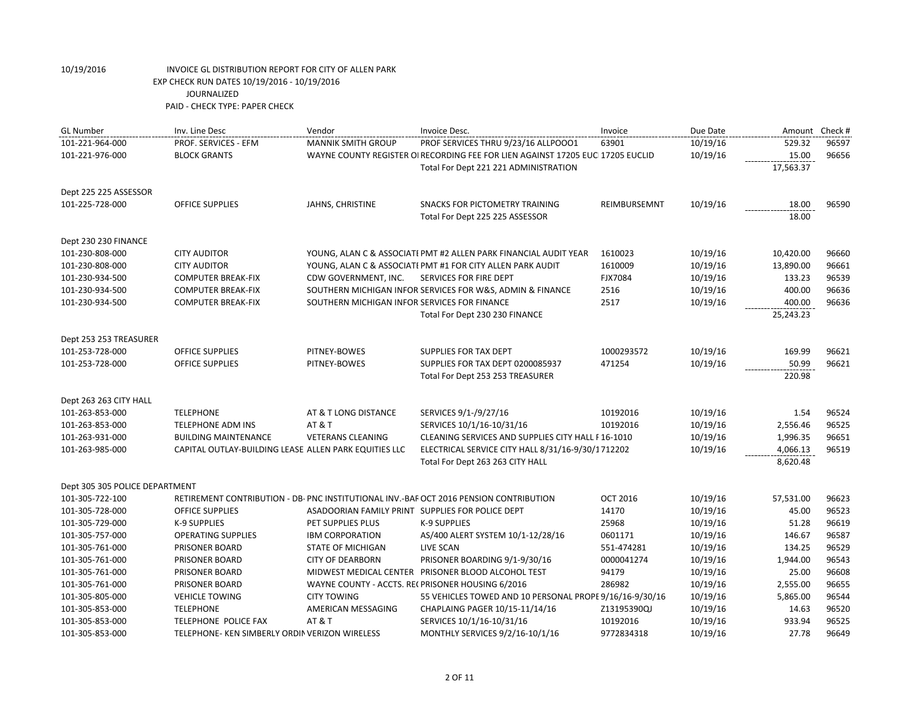| <b>GL Number</b>               | Inv. Line Desc                                        | Vendor                                           | Invoice Desc.                                                                          | Invoice         | Due Date | Amount Check # |       |
|--------------------------------|-------------------------------------------------------|--------------------------------------------------|----------------------------------------------------------------------------------------|-----------------|----------|----------------|-------|
| 101-221-964-000                | PROF. SERVICES - EFM                                  | <b>MANNIK SMITH GROUP</b>                        | PROF SERVICES THRU 9/23/16 ALLPOOO1                                                    | 63901           | 10/19/16 | 529.32         | 96597 |
| 101-221-976-000                | <b>BLOCK GRANTS</b>                                   |                                                  | WAYNE COUNTY REGISTER OI RECORDING FEE FOR LIEN AGAINST 17205 EUC 17205 EUCLID         |                 | 10/19/16 | 15.00          | 96656 |
|                                |                                                       |                                                  | Total For Dept 221 221 ADMINISTRATION                                                  |                 |          | 17,563.37      |       |
| Dept 225 225 ASSESSOR          |                                                       |                                                  |                                                                                        |                 |          |                |       |
| 101-225-728-000                | <b>OFFICE SUPPLIES</b>                                | JAHNS, CHRISTINE                                 | <b>SNACKS FOR PICTOMETRY TRAINING</b>                                                  | REIMBURSEMNT    | 10/19/16 | 18.00          | 96590 |
|                                |                                                       |                                                  | Total For Dept 225 225 ASSESSOR                                                        |                 |          | 18.00          |       |
| Dept 230 230 FINANCE           |                                                       |                                                  |                                                                                        |                 |          |                |       |
| 101-230-808-000                | <b>CITY AUDITOR</b>                                   |                                                  | YOUNG, ALAN C & ASSOCIATI PMT #2 ALLEN PARK FINANCIAL AUDIT YEAR                       | 1610023         | 10/19/16 | 10,420.00      | 96660 |
| 101-230-808-000                | <b>CITY AUDITOR</b>                                   |                                                  | YOUNG, ALAN C & ASSOCIATI PMT #1 FOR CITY ALLEN PARK AUDIT                             | 1610009         | 10/19/16 | 13,890.00      | 96661 |
| 101-230-934-500                | <b>COMPUTER BREAK-FIX</b>                             | CDW GOVERNMENT, INC.                             | SERVICES FOR FIRE DEPT                                                                 | FJX7084         | 10/19/16 | 133.23         | 96539 |
| 101-230-934-500                | <b>COMPUTER BREAK-FIX</b>                             |                                                  | SOUTHERN MICHIGAN INFOR SERVICES FOR W&S, ADMIN & FINANCE                              | 2516            | 10/19/16 | 400.00         | 96636 |
| 101-230-934-500                | <b>COMPUTER BREAK-FIX</b>                             | SOUTHERN MICHIGAN INFOR SERVICES FOR FINANCE     |                                                                                        | 2517            | 10/19/16 | 400.00         | 96636 |
|                                |                                                       |                                                  | Total For Dept 230 230 FINANCE                                                         |                 |          | 25,243.23      |       |
| Dept 253 253 TREASURER         |                                                       |                                                  |                                                                                        |                 |          |                |       |
| 101-253-728-000                | <b>OFFICE SUPPLIES</b>                                | PITNEY-BOWES                                     | SUPPLIES FOR TAX DEPT                                                                  | 1000293572      | 10/19/16 | 169.99         | 96621 |
| 101-253-728-000                | <b>OFFICE SUPPLIES</b>                                | PITNEY-BOWES                                     | SUPPLIES FOR TAX DEPT 0200085937                                                       | 471254          | 10/19/16 | 50.99          | 96621 |
|                                |                                                       |                                                  | Total For Dept 253 253 TREASURER                                                       |                 |          | 220.98         |       |
| Dept 263 263 CITY HALL         |                                                       |                                                  |                                                                                        |                 |          |                |       |
| 101-263-853-000                | <b>TELEPHONE</b>                                      | AT & T LONG DISTANCE                             | SERVICES 9/1-/9/27/16                                                                  | 10192016        | 10/19/16 | 1.54           | 96524 |
| 101-263-853-000                | <b>TELEPHONE ADM INS</b>                              | AT & T                                           | SERVICES 10/1/16-10/31/16                                                              | 10192016        | 10/19/16 | 2,556.46       | 96525 |
| 101-263-931-000                | <b>BUILDING MAINTENANCE</b>                           | <b>VETERANS CLEANING</b>                         | CLEANING SERVICES AND SUPPLIES CITY HALL F 16-1010                                     |                 | 10/19/16 | 1,996.35       | 96651 |
| 101-263-985-000                | CAPITAL OUTLAY-BUILDING LEASE ALLEN PARK EQUITIES LLC |                                                  | ELECTRICAL SERVICE CITY HALL 8/31/16-9/30/1712202                                      |                 | 10/19/16 | 4,066.13       | 96519 |
|                                |                                                       |                                                  | Total For Dept 263 263 CITY HALL                                                       |                 |          | 8,620.48       |       |
| Dept 305 305 POLICE DEPARTMENT |                                                       |                                                  |                                                                                        |                 |          |                |       |
| 101-305-722-100                |                                                       |                                                  | RETIREMENT CONTRIBUTION - DB- PNC INSTITUTIONAL INV.-BAF OCT 2016 PENSION CONTRIBUTION | <b>OCT 2016</b> | 10/19/16 | 57,531.00      | 96623 |
| 101-305-728-000                | <b>OFFICE SUPPLIES</b>                                | ASADOORIAN FAMILY PRINT SUPPLIES FOR POLICE DEPT |                                                                                        | 14170           | 10/19/16 | 45.00          | 96523 |
| 101-305-729-000                | K-9 SUPPLIES                                          | PET SUPPLIES PLUS                                | <b>K-9 SUPPLIES</b>                                                                    | 25968           | 10/19/16 | 51.28          | 96619 |
| 101-305-757-000                | <b>OPERATING SUPPLIES</b>                             | <b>IBM CORPORATION</b>                           | AS/400 ALERT SYSTEM 10/1-12/28/16                                                      | 0601171         | 10/19/16 | 146.67         | 96587 |
| 101-305-761-000                | PRISONER BOARD                                        | <b>STATE OF MICHIGAN</b>                         | <b>LIVE SCAN</b>                                                                       | 551-474281      | 10/19/16 | 134.25         | 96529 |
| 101-305-761-000                | PRISONER BOARD                                        | <b>CITY OF DEARBORN</b>                          | PRISONER BOARDING 9/1-9/30/16                                                          | 0000041274      | 10/19/16 | 1,944.00       | 96543 |
| 101-305-761-000                | PRISONER BOARD                                        |                                                  | MIDWEST MEDICAL CENTER PRISONER BLOOD ALCOHOL TEST                                     | 94179           | 10/19/16 | 25.00          | 96608 |
| 101-305-761-000                | PRISONER BOARD                                        |                                                  | WAYNE COUNTY - ACCTS. RECPRISONER HOUSING 6/2016                                       | 286982          | 10/19/16 | 2,555.00       | 96655 |
| 101-305-805-000                | <b>VEHICLE TOWING</b>                                 | <b>CITY TOWING</b>                               | 55 VEHICLES TOWED AND 10 PERSONAL PROPE 9/16/16-9/30/16                                |                 | 10/19/16 | 5,865.00       | 96544 |
| 101-305-853-000                | <b>TELEPHONE</b>                                      | AMERICAN MESSAGING                               | CHAPLAING PAGER 10/15-11/14/16                                                         | Z13195390QJ     | 10/19/16 | 14.63          | 96520 |
| 101-305-853-000                | TELEPHONE POLICE FAX                                  | AT & T                                           | SERVICES 10/1/16-10/31/16                                                              | 10192016        | 10/19/16 | 933.94         | 96525 |
| 101-305-853-000                | TELEPHONE- KEN SIMBERLY ORDIN VERIZON WIRELESS        |                                                  | MONTHLY SERVICES 9/2/16-10/1/16                                                        | 9772834318      | 10/19/16 | 27.78          | 96649 |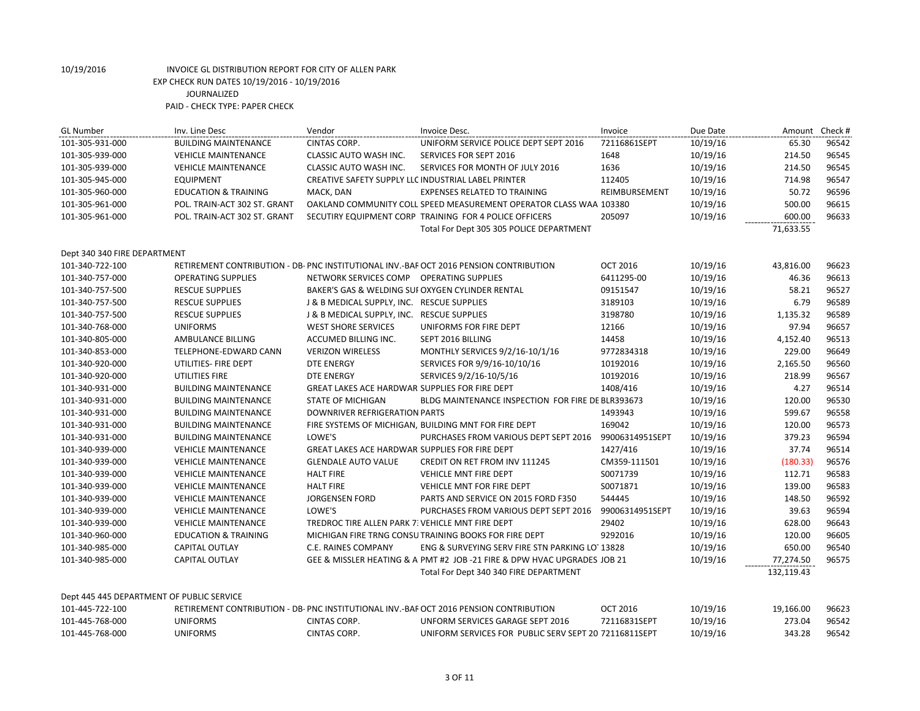| <b>GL Number</b>                          | Inv. Line Desc                  | Vendor                                              | Invoice Desc.                                                                          | Invoice         | Due Date | Amount     | Check # |
|-------------------------------------------|---------------------------------|-----------------------------------------------------|----------------------------------------------------------------------------------------|-----------------|----------|------------|---------|
| 101-305-931-000                           | <b>BUILDING MAINTENANCE</b>     | <b>CINTAS CORP.</b>                                 | UNIFORM SERVICE POLICE DEPT SEPT 2016                                                  | 72116861SEPT    | 10/19/16 | 65.30      | 96542   |
| 101-305-939-000                           | <b>VEHICLE MAINTENANCE</b>      | <b>CLASSIC AUTO WASH INC.</b>                       | <b>SERVICES FOR SEPT 2016</b>                                                          | 1648            | 10/19/16 | 214.50     | 96545   |
| 101-305-939-000                           | <b>VEHICLE MAINTENANCE</b>      | CLASSIC AUTO WASH INC.                              | SERVICES FOR MONTH OF JULY 2016                                                        | 1636            | 10/19/16 | 214.50     | 96545   |
| 101-305-945-000                           | <b>EQUIPMENT</b>                | CREATIVE SAFETY SUPPLY LLC INDUSTRIAL LABEL PRINTER |                                                                                        | 112405          | 10/19/16 | 714.98     | 96547   |
| 101-305-960-000                           | <b>EDUCATION &amp; TRAINING</b> | MACK, DAN                                           | <b>EXPENSES RELATED TO TRAINING</b>                                                    | REIMBURSEMENT   | 10/19/16 | 50.72      | 96596   |
| 101-305-961-000                           | POL. TRAIN-ACT 302 ST. GRANT    |                                                     | OAKLAND COMMUNITY COLL SPEED MEASUREMENT OPERATOR CLASS WAA 103380                     |                 | 10/19/16 | 500.00     | 96615   |
| 101-305-961-000                           | POL. TRAIN-ACT 302 ST. GRANT    |                                                     | SECUTIRY EQUIPMENT CORP TRAINING FOR 4 POLICE OFFICERS                                 | 205097          | 10/19/16 | 600.00     | 96633   |
|                                           |                                 |                                                     | Total For Dept 305 305 POLICE DEPARTMENT                                               |                 |          | 71,633.55  |         |
| Dept 340 340 FIRE DEPARTMENT              |                                 |                                                     |                                                                                        |                 |          |            |         |
| 101-340-722-100                           |                                 |                                                     | RETIREMENT CONTRIBUTION - DB- PNC INSTITUTIONAL INV.-BAF OCT 2016 PENSION CONTRIBUTION | <b>OCT 2016</b> | 10/19/16 | 43,816.00  | 96623   |
| 101-340-757-000                           | <b>OPERATING SUPPLIES</b>       | NETWORK SERVICES COMP                               | <b>OPERATING SUPPLIES</b>                                                              | 6411295-00      | 10/19/16 | 46.36      | 96613   |
| 101-340-757-500                           | <b>RESCUE SUPPLIES</b>          | BAKER'S GAS & WELDING SUI OXYGEN CYLINDER RENTAL    |                                                                                        | 09151547        | 10/19/16 | 58.21      | 96527   |
| 101-340-757-500                           | <b>RESCUE SUPPLIES</b>          | J & B MEDICAL SUPPLY, INC. RESCUE SUPPLIES          |                                                                                        | 3189103         | 10/19/16 | 6.79       | 96589   |
| 101-340-757-500                           | <b>RESCUE SUPPLIES</b>          | J & B MEDICAL SUPPLY, INC. RESCUE SUPPLIES          |                                                                                        | 3198780         | 10/19/16 | 1,135.32   | 96589   |
| 101-340-768-000                           | <b>UNIFORMS</b>                 | <b>WEST SHORE SERVICES</b>                          | UNIFORMS FOR FIRE DEPT                                                                 | 12166           | 10/19/16 | 97.94      | 96657   |
| 101-340-805-000                           | AMBULANCE BILLING               | ACCUMED BILLING INC.                                | SEPT 2016 BILLING                                                                      | 14458           | 10/19/16 | 4,152.40   | 96513   |
| 101-340-853-000                           | TELEPHONE-EDWARD CANN           | <b>VERIZON WIRELESS</b>                             | MONTHLY SERVICES 9/2/16-10/1/16                                                        | 9772834318      | 10/19/16 | 229.00     | 96649   |
| 101-340-920-000                           | UTILITIES- FIRE DEPT            | <b>DTE ENERGY</b>                                   | SERVICES FOR 9/9/16-10/10/16                                                           | 10192016        | 10/19/16 | 2,165.50   | 96560   |
| 101-340-920-000                           | UTILITIES FIRE                  | <b>DTE ENERGY</b>                                   | SERVICES 9/2/16-10/5/16                                                                | 10192016        | 10/19/16 | 218.99     | 96567   |
| 101-340-931-000                           | <b>BUILDING MAINTENANCE</b>     | GREAT LAKES ACE HARDWAR SUPPLIES FOR FIRE DEPT      |                                                                                        | 1408/416        | 10/19/16 | 4.27       | 96514   |
| 101-340-931-000                           | <b>BUILDING MAINTENANCE</b>     | <b>STATE OF MICHIGAN</b>                            | BLDG MAINTENANCE INSPECTION FOR FIRE DE BLR393673                                      |                 | 10/19/16 | 120.00     | 96530   |
| 101-340-931-000                           | <b>BUILDING MAINTENANCE</b>     | DOWNRIVER REFRIGERATION PARTS                       |                                                                                        | 1493943         | 10/19/16 | 599.67     | 96558   |
| 101-340-931-000                           | <b>BUILDING MAINTENANCE</b>     |                                                     | FIRE SYSTEMS OF MICHIGAN, BUILDING MNT FOR FIRE DEPT                                   | 169042          | 10/19/16 | 120.00     | 96573   |
| 101-340-931-000                           | <b>BUILDING MAINTENANCE</b>     | LOWE'S                                              | PURCHASES FROM VARIOUS DEPT SEPT 2016                                                  | 99006314951SEPT | 10/19/16 | 379.23     | 96594   |
| 101-340-939-000                           | <b>VEHICLE MAINTENANCE</b>      | GREAT LAKES ACE HARDWAR SUPPLIES FOR FIRE DEPT      |                                                                                        | 1427/416        | 10/19/16 | 37.74      | 96514   |
| 101-340-939-000                           | <b>VEHICLE MAINTENANCE</b>      | <b>GLENDALE AUTO VALUE</b>                          | CREDIT ON RET FROM INV 111245                                                          | CM359-111501    | 10/19/16 | (180.33)   | 96576   |
| 101-340-939-000                           | <b>VEHICLE MAINTENANCE</b>      | <b>HALT FIRE</b>                                    | <b>VEHICLE MNT FIRE DEPT</b>                                                           | S0071739        | 10/19/16 | 112.71     | 96583   |
| 101-340-939-000                           | <b>VEHICLE MAINTENANCE</b>      | <b>HALT FIRE</b>                                    | VEHICLE MNT FOR FIRE DEPT                                                              | S0071871        | 10/19/16 | 139.00     | 96583   |
| 101-340-939-000                           | <b>VEHICLE MAINTENANCE</b>      | <b>JORGENSEN FORD</b>                               | PARTS AND SERVICE ON 2015 FORD F350                                                    | 544445          | 10/19/16 | 148.50     | 96592   |
| 101-340-939-000                           | <b>VEHICLE MAINTENANCE</b>      | LOWE'S                                              | PURCHASES FROM VARIOUS DEPT SEPT 2016                                                  | 99006314951SEPT | 10/19/16 | 39.63      | 96594   |
| 101-340-939-000                           | <b>VEHICLE MAINTENANCE</b>      | TREDROC TIRE ALLEN PARK 7: VEHICLE MNT FIRE DEPT    |                                                                                        | 29402           | 10/19/16 | 628.00     | 96643   |
| 101-340-960-000                           | <b>EDUCATION &amp; TRAINING</b> |                                                     | MICHIGAN FIRE TRNG CONSU TRAINING BOOKS FOR FIRE DEPT                                  | 9292016         | 10/19/16 | 120.00     | 96605   |
| 101-340-985-000                           | <b>CAPITAL OUTLAY</b>           | C.E. RAINES COMPANY                                 | ENG & SURVEYING SERV FIRE STN PARKING LOT 13828                                        |                 | 10/19/16 | 650.00     | 96540   |
| 101-340-985-000                           | CAPITAL OUTLAY                  |                                                     | GEE & MISSLER HEATING & A PMT #2 JOB -21 FIRE & DPW HVAC UPGRADES JOB 21               |                 | 10/19/16 | 77,274.50  | 96575   |
|                                           |                                 |                                                     | Total For Dept 340 340 FIRE DEPARTMENT                                                 |                 |          | 132,119.43 |         |
|                                           |                                 |                                                     |                                                                                        |                 |          |            |         |
| Dept 445 445 DEPARTMENT OF PUBLIC SERVICE |                                 |                                                     |                                                                                        |                 |          |            |         |
| 101-445-722-100                           |                                 |                                                     | RETIREMENT CONTRIBUTION - DB- PNC INSTITUTIONAL INV.-BAF OCT 2016 PENSION CONTRIBUTION | <b>OCT 2016</b> | 10/19/16 | 19,166.00  | 96623   |
| 101-445-768-000                           | <b>UNIFORMS</b>                 | CINTAS CORP.                                        | <b>UNFORM SERVICES GARAGE SEPT 2016</b>                                                | 72116831SEPT    | 10/19/16 | 273.04     | 96542   |
| 101-445-768-000                           | <b>UNIFORMS</b>                 | CINTAS CORP.                                        | UNIFORM SERVICES FOR PUBLIC SERV SEPT 20 72116811SEPT                                  |                 | 10/19/16 | 343.28     | 96542   |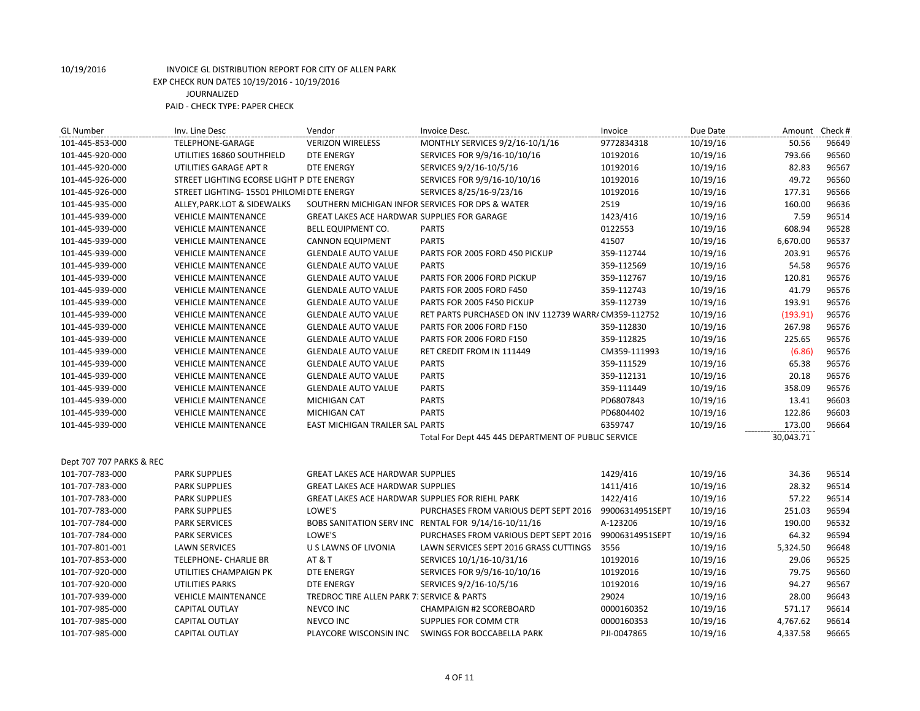#### 10/19/2016 INVOICE GL DISTRIBUTION REPORT FOR CITY OF ALLEN PARK EXP CHECK RUN DATES 10/19/2016 - 10/19/2016 JOURNALIZED

PAID - CHECK TYPE: PAPER CHECK

| <b>VERIZON WIRELESS</b><br>MONTHLY SERVICES 9/2/16-10/1/16<br>101-445-853-000<br>TELEPHONE-GARAGE<br>9772834318<br>10/19/16<br>50.56<br>96649<br>793.66<br>96560<br>101-445-920-000<br>UTILITIES 16860 SOUTHFIELD<br><b>DTE ENERGY</b><br>SERVICES FOR 9/9/16-10/10/16<br>10192016<br>10/19/16<br>82.83<br>96567<br>101-445-920-000<br>UTILITIES GARAGE APT R<br><b>DTE ENERGY</b><br>SERVICES 9/2/16-10/5/16<br>10192016<br>10/19/16<br>49.72<br>96560<br>STREET LIGHTING ECORSE LIGHT P DTE ENERGY<br>SERVICES FOR 9/9/16-10/10/16<br>10192016<br>10/19/16<br>101-445-926-000<br>10192016<br>10/19/16<br>177.31<br>96566<br>101-445-926-000<br>STREET LIGHTING- 15501 PHILOMI DTE ENERGY<br>SERVICES 8/25/16-9/23/16<br>96636<br>ALLEY, PARK.LOT & SIDEWALKS<br>SOUTHERN MICHIGAN INFOR SERVICES FOR DPS & WATER<br>2519<br>10/19/16<br>160.00<br>101-445-935-000<br>101-445-939-000<br>GREAT LAKES ACE HARDWAR SUPPLIES FOR GARAGE<br>1423/416<br>10/19/16<br>7.59<br>96514<br><b>VEHICLE MAINTENANCE</b><br><b>PARTS</b><br>0122553<br>10/19/16<br>608.94<br>96528<br>101-445-939-000<br><b>VEHICLE MAINTENANCE</b><br>BELL EQUIPMENT CO.<br><b>PARTS</b><br>41507<br>6,670.00<br>96537<br>101-445-939-000<br><b>CANNON EQUIPMENT</b><br>10/19/16<br><b>VEHICLE MAINTENANCE</b> |
|-------------------------------------------------------------------------------------------------------------------------------------------------------------------------------------------------------------------------------------------------------------------------------------------------------------------------------------------------------------------------------------------------------------------------------------------------------------------------------------------------------------------------------------------------------------------------------------------------------------------------------------------------------------------------------------------------------------------------------------------------------------------------------------------------------------------------------------------------------------------------------------------------------------------------------------------------------------------------------------------------------------------------------------------------------------------------------------------------------------------------------------------------------------------------------------------------------------------------------------------------------------------------------------|
|                                                                                                                                                                                                                                                                                                                                                                                                                                                                                                                                                                                                                                                                                                                                                                                                                                                                                                                                                                                                                                                                                                                                                                                                                                                                                     |
|                                                                                                                                                                                                                                                                                                                                                                                                                                                                                                                                                                                                                                                                                                                                                                                                                                                                                                                                                                                                                                                                                                                                                                                                                                                                                     |
|                                                                                                                                                                                                                                                                                                                                                                                                                                                                                                                                                                                                                                                                                                                                                                                                                                                                                                                                                                                                                                                                                                                                                                                                                                                                                     |
|                                                                                                                                                                                                                                                                                                                                                                                                                                                                                                                                                                                                                                                                                                                                                                                                                                                                                                                                                                                                                                                                                                                                                                                                                                                                                     |
|                                                                                                                                                                                                                                                                                                                                                                                                                                                                                                                                                                                                                                                                                                                                                                                                                                                                                                                                                                                                                                                                                                                                                                                                                                                                                     |
|                                                                                                                                                                                                                                                                                                                                                                                                                                                                                                                                                                                                                                                                                                                                                                                                                                                                                                                                                                                                                                                                                                                                                                                                                                                                                     |
|                                                                                                                                                                                                                                                                                                                                                                                                                                                                                                                                                                                                                                                                                                                                                                                                                                                                                                                                                                                                                                                                                                                                                                                                                                                                                     |
|                                                                                                                                                                                                                                                                                                                                                                                                                                                                                                                                                                                                                                                                                                                                                                                                                                                                                                                                                                                                                                                                                                                                                                                                                                                                                     |
|                                                                                                                                                                                                                                                                                                                                                                                                                                                                                                                                                                                                                                                                                                                                                                                                                                                                                                                                                                                                                                                                                                                                                                                                                                                                                     |
| 10/19/16<br>203.91<br>96576<br>101-445-939-000<br><b>VEHICLE MAINTENANCE</b><br><b>GLENDALE AUTO VALUE</b><br>PARTS FOR 2005 FORD 450 PICKUP<br>359-112744                                                                                                                                                                                                                                                                                                                                                                                                                                                                                                                                                                                                                                                                                                                                                                                                                                                                                                                                                                                                                                                                                                                          |
| <b>PARTS</b><br>96576<br>10/19/16<br>54.58<br>101-445-939-000<br><b>VEHICLE MAINTENANCE</b><br><b>GLENDALE AUTO VALUE</b><br>359-112569                                                                                                                                                                                                                                                                                                                                                                                                                                                                                                                                                                                                                                                                                                                                                                                                                                                                                                                                                                                                                                                                                                                                             |
| 10/19/16<br>120.81<br>96576<br>101-445-939-000<br><b>VEHICLE MAINTENANCE</b><br><b>GLENDALE AUTO VALUE</b><br>PARTS FOR 2006 FORD PICKUP<br>359-112767                                                                                                                                                                                                                                                                                                                                                                                                                                                                                                                                                                                                                                                                                                                                                                                                                                                                                                                                                                                                                                                                                                                              |
| 10/19/16<br>41.79<br>96576<br>101-445-939-000<br><b>VEHICLE MAINTENANCE</b><br><b>GLENDALE AUTO VALUE</b><br>PARTS FOR 2005 FORD F450<br>359-112743                                                                                                                                                                                                                                                                                                                                                                                                                                                                                                                                                                                                                                                                                                                                                                                                                                                                                                                                                                                                                                                                                                                                 |
| 193.91<br>96576<br>101-445-939-000<br><b>VEHICLE MAINTENANCE</b><br><b>GLENDALE AUTO VALUE</b><br>PARTS FOR 2005 F450 PICKUP<br>359-112739<br>10/19/16                                                                                                                                                                                                                                                                                                                                                                                                                                                                                                                                                                                                                                                                                                                                                                                                                                                                                                                                                                                                                                                                                                                              |
| 96576<br>101-445-939-000<br><b>GLENDALE AUTO VALUE</b><br>RET PARTS PURCHASED ON INV 112739 WARR/ CM359-112752<br>10/19/16<br>(193.91)<br><b>VEHICLE MAINTENANCE</b>                                                                                                                                                                                                                                                                                                                                                                                                                                                                                                                                                                                                                                                                                                                                                                                                                                                                                                                                                                                                                                                                                                                |
| 10/19/16<br>267.98<br>96576<br>101-445-939-000<br><b>VEHICLE MAINTENANCE</b><br><b>GLENDALE AUTO VALUE</b><br><b>PARTS FOR 2006 FORD F150</b><br>359-112830                                                                                                                                                                                                                                                                                                                                                                                                                                                                                                                                                                                                                                                                                                                                                                                                                                                                                                                                                                                                                                                                                                                         |
| PARTS FOR 2006 FORD F150<br>10/19/16<br>225.65<br>96576<br>101-445-939-000<br><b>VEHICLE MAINTENANCE</b><br><b>GLENDALE AUTO VALUE</b><br>359-112825                                                                                                                                                                                                                                                                                                                                                                                                                                                                                                                                                                                                                                                                                                                                                                                                                                                                                                                                                                                                                                                                                                                                |
| RET CREDIT FROM IN 111449<br>CM359-111993<br>10/19/16<br>(6.86)<br>96576<br>101-445-939-000<br><b>VEHICLE MAINTENANCE</b><br><b>GLENDALE AUTO VALUE</b>                                                                                                                                                                                                                                                                                                                                                                                                                                                                                                                                                                                                                                                                                                                                                                                                                                                                                                                                                                                                                                                                                                                             |
| 10/19/16<br>65.38<br>96576<br><b>VEHICLE MAINTENANCE</b><br><b>GLENDALE AUTO VALUE</b><br><b>PARTS</b><br>359-111529<br>101-445-939-000                                                                                                                                                                                                                                                                                                                                                                                                                                                                                                                                                                                                                                                                                                                                                                                                                                                                                                                                                                                                                                                                                                                                             |
| 20.18<br>96576<br>101-445-939-000<br><b>VEHICLE MAINTENANCE</b><br><b>GLENDALE AUTO VALUE</b><br><b>PARTS</b><br>359-112131<br>10/19/16                                                                                                                                                                                                                                                                                                                                                                                                                                                                                                                                                                                                                                                                                                                                                                                                                                                                                                                                                                                                                                                                                                                                             |
| 358.09<br>96576<br><b>PARTS</b><br>359-111449<br>10/19/16<br>101-445-939-000<br><b>VEHICLE MAINTENANCE</b><br><b>GLENDALE AUTO VALUE</b>                                                                                                                                                                                                                                                                                                                                                                                                                                                                                                                                                                                                                                                                                                                                                                                                                                                                                                                                                                                                                                                                                                                                            |
| 96603<br><b>PARTS</b><br>PD6807843<br>10/19/16<br>13.41<br>101-445-939-000<br><b>VEHICLE MAINTENANCE</b><br><b>MICHIGAN CAT</b>                                                                                                                                                                                                                                                                                                                                                                                                                                                                                                                                                                                                                                                                                                                                                                                                                                                                                                                                                                                                                                                                                                                                                     |
| <b>PARTS</b><br>122.86<br>96603<br><b>MICHIGAN CAT</b><br>PD6804402<br>10/19/16<br>101-445-939-000<br><b>VEHICLE MAINTENANCE</b>                                                                                                                                                                                                                                                                                                                                                                                                                                                                                                                                                                                                                                                                                                                                                                                                                                                                                                                                                                                                                                                                                                                                                    |
| 10/19/16<br>173.00<br>96664<br>101-445-939-000<br><b>VEHICLE MAINTENANCE</b><br>EAST MICHIGAN TRAILER SAL PARTS<br>6359747                                                                                                                                                                                                                                                                                                                                                                                                                                                                                                                                                                                                                                                                                                                                                                                                                                                                                                                                                                                                                                                                                                                                                          |
| 30,043.71<br>Total For Dept 445 445 DEPARTMENT OF PUBLIC SERVICE                                                                                                                                                                                                                                                                                                                                                                                                                                                                                                                                                                                                                                                                                                                                                                                                                                                                                                                                                                                                                                                                                                                                                                                                                    |
| Dept 707 707 PARKS & REC                                                                                                                                                                                                                                                                                                                                                                                                                                                                                                                                                                                                                                                                                                                                                                                                                                                                                                                                                                                                                                                                                                                                                                                                                                                            |
| 1429/416<br>10/19/16<br>34.36<br>101-707-783-000<br><b>PARK SUPPLIES</b><br><b>GREAT LAKES ACE HARDWAR SUPPLIES</b><br>96514                                                                                                                                                                                                                                                                                                                                                                                                                                                                                                                                                                                                                                                                                                                                                                                                                                                                                                                                                                                                                                                                                                                                                        |
| 1411/416<br>10/19/16<br>28.32<br>96514<br>101-707-783-000<br><b>PARK SUPPLIES</b><br><b>GREAT LAKES ACE HARDWAR SUPPLIES</b>                                                                                                                                                                                                                                                                                                                                                                                                                                                                                                                                                                                                                                                                                                                                                                                                                                                                                                                                                                                                                                                                                                                                                        |
| 1422/416<br>10/19/16<br>57.22<br>96514<br>101-707-783-000<br><b>PARK SUPPLIES</b><br>GREAT LAKES ACE HARDWAR SUPPLIES FOR RIEHL PARK                                                                                                                                                                                                                                                                                                                                                                                                                                                                                                                                                                                                                                                                                                                                                                                                                                                                                                                                                                                                                                                                                                                                                |
| LOWE'S<br>96594<br>101-707-783-000<br><b>PARK SUPPLIES</b><br>PURCHASES FROM VARIOUS DEPT SEPT 2016<br>99006314951SEPT<br>10/19/16<br>251.03                                                                                                                                                                                                                                                                                                                                                                                                                                                                                                                                                                                                                                                                                                                                                                                                                                                                                                                                                                                                                                                                                                                                        |
| A-123206<br>10/19/16<br>190.00<br>96532<br>101-707-784-000<br><b>PARK SERVICES</b><br>BOBS SANITATION SERV INC RENTAL FOR 9/14/16-10/11/16                                                                                                                                                                                                                                                                                                                                                                                                                                                                                                                                                                                                                                                                                                                                                                                                                                                                                                                                                                                                                                                                                                                                          |
| LOWE'S<br>99006314951SEPT<br>64.32<br>96594<br>101-707-784-000<br><b>PARK SERVICES</b><br>PURCHASES FROM VARIOUS DEPT SEPT 2016<br>10/19/16                                                                                                                                                                                                                                                                                                                                                                                                                                                                                                                                                                                                                                                                                                                                                                                                                                                                                                                                                                                                                                                                                                                                         |
| 96648<br>101-707-801-001<br><b>LAWN SERVICES</b><br>U S LAWNS OF LIVONIA<br>LAWN SERVICES SEPT 2016 GRASS CUTTINGS<br>3556<br>10/19/16<br>5,324.50                                                                                                                                                                                                                                                                                                                                                                                                                                                                                                                                                                                                                                                                                                                                                                                                                                                                                                                                                                                                                                                                                                                                  |
| 29.06<br>96525<br>101-707-853-000<br>TELEPHONE- CHARLIE BR<br><b>AT &amp; T</b><br>SERVICES 10/1/16-10/31/16<br>10192016<br>10/19/16                                                                                                                                                                                                                                                                                                                                                                                                                                                                                                                                                                                                                                                                                                                                                                                                                                                                                                                                                                                                                                                                                                                                                |
| 96560<br>101-707-920-000<br>UTILITIES CHAMPAIGN PK<br><b>DTE ENERGY</b><br>SERVICES FOR 9/9/16-10/10/16<br>10192016<br>10/19/16<br>79.75                                                                                                                                                                                                                                                                                                                                                                                                                                                                                                                                                                                                                                                                                                                                                                                                                                                                                                                                                                                                                                                                                                                                            |
| 94.27<br>101-707-920-000<br><b>UTILITIES PARKS</b><br>SERVICES 9/2/16-10/5/16<br>10192016<br>10/19/16<br>96567<br><b>DTE ENERGY</b>                                                                                                                                                                                                                                                                                                                                                                                                                                                                                                                                                                                                                                                                                                                                                                                                                                                                                                                                                                                                                                                                                                                                                 |
| TREDROC TIRE ALLEN PARK 7. SERVICE & PARTS<br>29024<br>10/19/16<br>28.00<br>96643<br>101-707-939-000<br><b>VEHICLE MAINTENANCE</b>                                                                                                                                                                                                                                                                                                                                                                                                                                                                                                                                                                                                                                                                                                                                                                                                                                                                                                                                                                                                                                                                                                                                                  |
| NEVCO INC<br>10/19/16<br>571.17<br>96614<br>101-707-985-000<br><b>CAPITAL OUTLAY</b><br><b>CHAMPAIGN #2 SCOREBOARD</b><br>0000160352                                                                                                                                                                                                                                                                                                                                                                                                                                                                                                                                                                                                                                                                                                                                                                                                                                                                                                                                                                                                                                                                                                                                                |
| 96614<br>101-707-985-000<br><b>CAPITAL OUTLAY</b><br>NEVCO INC<br>SUPPLIES FOR COMM CTR<br>0000160353<br>10/19/16<br>4,767.62                                                                                                                                                                                                                                                                                                                                                                                                                                                                                                                                                                                                                                                                                                                                                                                                                                                                                                                                                                                                                                                                                                                                                       |
| 96665<br>101-707-985-000<br><b>CAPITAL OUTLAY</b><br>PLAYCORE WISCONSIN INC<br>SWINGS FOR BOCCABELLA PARK<br>PJI-0047865<br>10/19/16<br>4,337.58                                                                                                                                                                                                                                                                                                                                                                                                                                                                                                                                                                                                                                                                                                                                                                                                                                                                                                                                                                                                                                                                                                                                    |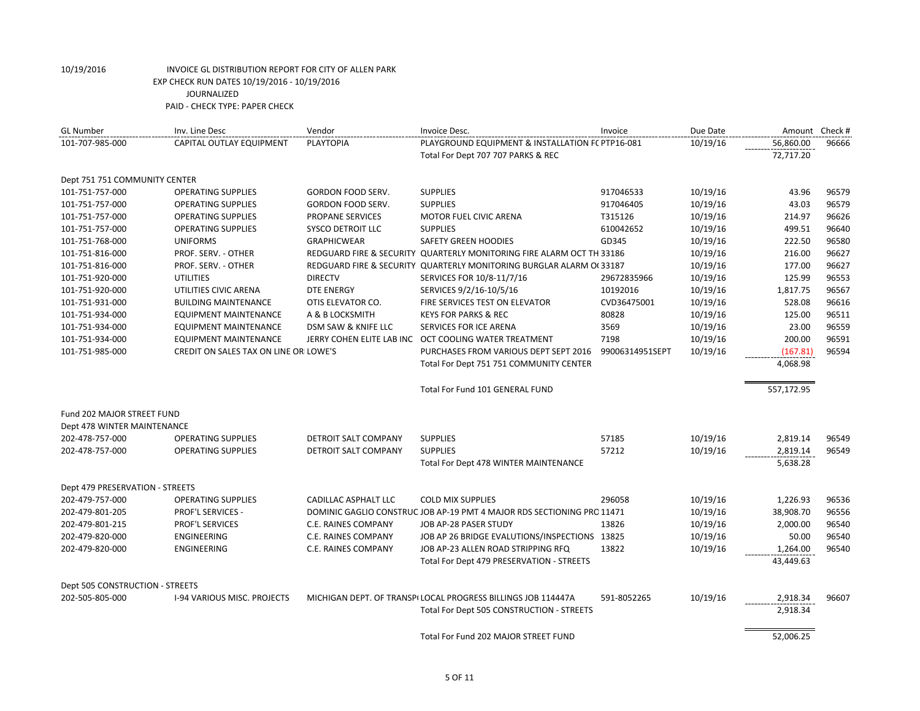| <b>GL Number</b>                | Inv. Line Desc                        | Vendor               | Invoice Desc.                                                          | Invoice         | Due Date | Amount Check # |       |
|---------------------------------|---------------------------------------|----------------------|------------------------------------------------------------------------|-----------------|----------|----------------|-------|
| 101-707-985-000                 | CAPITAL OUTLAY EQUIPMENT              | <b>PLAYTOPIA</b>     | PLAYGROUND EQUIPMENT & INSTALLATION F(PTP16-081                        |                 | 10/19/16 | 56,860.00      | 96666 |
|                                 |                                       |                      | Total For Dept 707 707 PARKS & REC                                     |                 |          | 72,717.20      |       |
| Dept 751 751 COMMUNITY CENTER   |                                       |                      |                                                                        |                 |          |                |       |
| 101-751-757-000                 | <b>OPERATING SUPPLIES</b>             | GORDON FOOD SERV.    | <b>SUPPLIES</b>                                                        | 917046533       | 10/19/16 | 43.96          | 96579 |
| 101-751-757-000                 | <b>OPERATING SUPPLIES</b>             | GORDON FOOD SERV.    | <b>SUPPLIES</b>                                                        | 917046405       | 10/19/16 | 43.03          | 96579 |
| 101-751-757-000                 | <b>OPERATING SUPPLIES</b>             | PROPANE SERVICES     | MOTOR FUEL CIVIC ARENA                                                 | T315126         | 10/19/16 | 214.97         | 96626 |
| 101-751-757-000                 | <b>OPERATING SUPPLIES</b>             | SYSCO DETROIT LLC    | <b>SUPPLIES</b>                                                        | 610042652       | 10/19/16 | 499.51         | 96640 |
| 101-751-768-000                 | <b>UNIFORMS</b>                       | <b>GRAPHICWEAR</b>   | <b>SAFETY GREEN HOODIES</b>                                            | GD345           | 10/19/16 | 222.50         | 96580 |
| 101-751-816-000                 | PROF. SERV. - OTHER                   |                      | REDGUARD FIRE & SECURITY QUARTERLY MONITORING FIRE ALARM OCT TH 33186  |                 | 10/19/16 | 216.00         | 96627 |
| 101-751-816-000                 | PROF. SERV. - OTHER                   |                      | REDGUARD FIRE & SECURITY QUARTERLY MONITORING BURGLAR ALARM O(33187    |                 | 10/19/16 | 177.00         | 96627 |
| 101-751-920-000                 | <b>UTILITIES</b>                      | <b>DIRECTV</b>       | SERVICES FOR 10/8-11/7/16                                              | 29672835966     | 10/19/16 | 125.99         | 96553 |
| 101-751-920-000                 | UTILITIES CIVIC ARENA                 | DTE ENERGY           | SERVICES 9/2/16-10/5/16                                                | 10192016        | 10/19/16 | 1,817.75       | 96567 |
| 101-751-931-000                 | <b>BUILDING MAINTENANCE</b>           | OTIS ELEVATOR CO.    | FIRE SERVICES TEST ON ELEVATOR                                         | CVD36475001     | 10/19/16 | 528.08         | 96616 |
| 101-751-934-000                 | <b>EQUIPMENT MAINTENANCE</b>          | A & B LOCKSMITH      | <b>KEYS FOR PARKS &amp; REC</b>                                        | 80828           | 10/19/16 | 125.00         | 96511 |
| 101-751-934-000                 | <b>EQUIPMENT MAINTENANCE</b>          | DSM SAW & KNIFE LLC  | SERVICES FOR ICE ARENA                                                 | 3569            | 10/19/16 | 23.00          | 96559 |
| 101-751-934-000                 | EQUIPMENT MAINTENANCE                 |                      | JERRY COHEN ELITE LAB INC OCT COOLING WATER TREATMENT                  | 7198            | 10/19/16 | 200.00         | 96591 |
| 101-751-985-000                 | CREDIT ON SALES TAX ON LINE OR LOWE'S |                      | PURCHASES FROM VARIOUS DEPT SEPT 2016                                  | 99006314951SEPT | 10/19/16 | (167.81)       | 96594 |
|                                 |                                       |                      | Total For Dept 751 751 COMMUNITY CENTER                                |                 |          | 4,068.98       |       |
|                                 |                                       |                      | Total For Fund 101 GENERAL FUND                                        |                 |          | 557,172.95     |       |
| Fund 202 MAJOR STREET FUND      |                                       |                      |                                                                        |                 |          |                |       |
| Dept 478 WINTER MAINTENANCE     |                                       |                      |                                                                        |                 |          |                |       |
| 202-478-757-000                 | <b>OPERATING SUPPLIES</b>             | DETROIT SALT COMPANY | <b>SUPPLIES</b>                                                        | 57185           | 10/19/16 | 2,819.14       | 96549 |
| 202-478-757-000                 | <b>OPERATING SUPPLIES</b>             | DETROIT SALT COMPANY | <b>SUPPLIES</b>                                                        | 57212           | 10/19/16 | 2,819.14       | 96549 |
|                                 |                                       |                      | Total For Dept 478 WINTER MAINTENANCE                                  |                 |          | 5,638.28       |       |
| Dept 479 PRESERVATION - STREETS |                                       |                      |                                                                        |                 |          |                |       |
| 202-479-757-000                 | <b>OPERATING SUPPLIES</b>             | CADILLAC ASPHALT LLC | <b>COLD MIX SUPPLIES</b>                                               | 296058          | 10/19/16 | 1,226.93       | 96536 |
| 202-479-801-205                 | <b>PROF'L SERVICES -</b>              |                      | DOMINIC GAGLIO CONSTRUC JOB AP-19 PMT 4 MAJOR RDS SECTIONING PRC 11471 |                 | 10/19/16 | 38,908.70      | 96556 |
| 202-479-801-215                 | PROF'L SERVICES                       | C.E. RAINES COMPANY  | JOB AP-28 PASER STUDY                                                  | 13826           | 10/19/16 | 2,000.00       | 96540 |
| 202-479-820-000                 | ENGINEERING                           | C.E. RAINES COMPANY  | JOB AP 26 BRIDGE EVALUTIONS/INSPECTIONS 13825                          |                 | 10/19/16 | 50.00          | 96540 |
| 202-479-820-000                 | ENGINEERING                           | C.E. RAINES COMPANY  | JOB AP-23 ALLEN ROAD STRIPPING RFQ                                     | 13822           | 10/19/16 | 1,264.00       | 96540 |
|                                 |                                       |                      | Total For Dept 479 PRESERVATION - STREETS                              |                 |          | 43,449.63      |       |
| Dept 505 CONSTRUCTION - STREETS |                                       |                      |                                                                        |                 |          |                |       |
| 202-505-805-000                 | <b>I-94 VARIOUS MISC. PROJECTS</b>    |                      | MICHIGAN DEPT. OF TRANSPILOCAL PROGRESS BILLINGS JOB 114447A           | 591-8052265     | 10/19/16 | 2,918.34       | 96607 |
|                                 |                                       |                      | Total For Dept 505 CONSTRUCTION - STREETS                              |                 |          | 2,918.34       |       |
|                                 |                                       |                      | Total For Fund 202 MAJOR STREET FUND                                   |                 |          | 52,006.25      |       |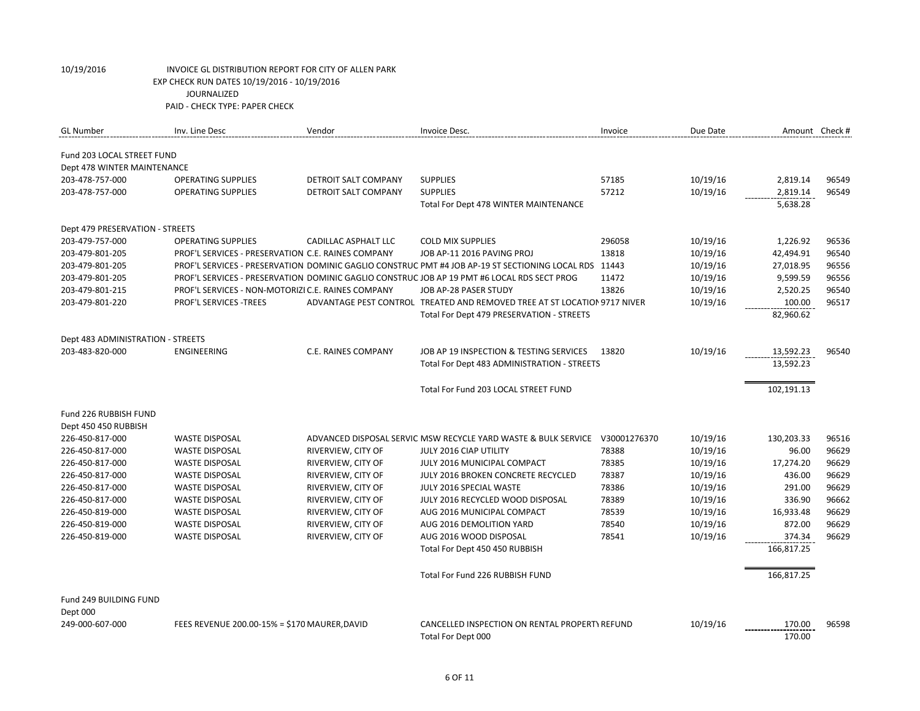| <b>GL Number</b>                               | Inv. Line Desc                                     | Vendor               | Invoice Desc.                                                                                         | Invoice      | Due Date | Amount Check #       |       |
|------------------------------------------------|----------------------------------------------------|----------------------|-------------------------------------------------------------------------------------------------------|--------------|----------|----------------------|-------|
|                                                |                                                    |                      |                                                                                                       |              |          |                      |       |
| Fund 203 LOCAL STREET FUND                     |                                                    |                      |                                                                                                       |              |          |                      |       |
| Dept 478 WINTER MAINTENANCE<br>203-478-757-000 | <b>OPERATING SUPPLIES</b>                          | DETROIT SALT COMPANY | <b>SUPPLIES</b>                                                                                       | 57185        | 10/19/16 |                      | 96549 |
| 203-478-757-000                                | <b>OPERATING SUPPLIES</b>                          | DETROIT SALT COMPANY | <b>SUPPLIES</b>                                                                                       | 57212        | 10/19/16 | 2,819.14<br>2,819.14 | 96549 |
|                                                |                                                    |                      |                                                                                                       |              |          |                      |       |
|                                                |                                                    |                      | Total For Dept 478 WINTER MAINTENANCE                                                                 |              |          | 5,638.28             |       |
| Dept 479 PRESERVATION - STREETS                |                                                    |                      |                                                                                                       |              |          |                      |       |
| 203-479-757-000                                | <b>OPERATING SUPPLIES</b>                          | CADILLAC ASPHALT LLC | <b>COLD MIX SUPPLIES</b>                                                                              | 296058       | 10/19/16 | 1,226.92             | 96536 |
| 203-479-801-205                                | PROF'L SERVICES - PRESERVATION C.E. RAINES COMPANY |                      | JOB AP-11 2016 PAVING PROJ                                                                            | 13818        | 10/19/16 | 42,494.91            | 96540 |
| 203-479-801-205                                |                                                    |                      | PROF'L SERVICES - PRESERVATION DOMINIC GAGLIO CONSTRUC PMT #4 JOB AP-19 ST SECTIONING LOCAL RDS 11443 |              | 10/19/16 | 27,018.95            | 96556 |
| 203-479-801-205                                |                                                    |                      | PROF'L SERVICES - PRESERVATION DOMINIC GAGLIO CONSTRUC JOB AP 19 PMT #6 LOCAL RDS SECT PROG           | 11472        | 10/19/16 | 9,599.59             | 96556 |
| 203-479-801-215                                | PROF'L SERVICES - NON-MOTORIZI C.E. RAINES COMPANY |                      | JOB AP-28 PASER STUDY                                                                                 | 13826        | 10/19/16 | 2,520.25             | 96540 |
| 203-479-801-220                                | <b>PROF'L SERVICES -TREES</b>                      |                      | ADVANTAGE PEST CONTROL TREATED AND REMOVED TREE AT ST LOCATION 9717 NIVER                             |              | 10/19/16 | 100.00               | 96517 |
|                                                |                                                    |                      | Total For Dept 479 PRESERVATION - STREETS                                                             |              |          | 82,960.62            |       |
|                                                |                                                    |                      |                                                                                                       |              |          |                      |       |
| Dept 483 ADMINISTRATION - STREETS              |                                                    |                      |                                                                                                       |              |          |                      |       |
| 203-483-820-000                                | <b>ENGINEERING</b>                                 | C.E. RAINES COMPANY  | JOB AP 19 INSPECTION & TESTING SERVICES                                                               | 13820        | 10/19/16 | 13,592.23            | 96540 |
|                                                |                                                    |                      | Total For Dept 483 ADMINISTRATION - STREETS                                                           |              |          | 13,592.23            |       |
|                                                |                                                    |                      | Total For Fund 203 LOCAL STREET FUND                                                                  |              |          | 102,191.13           |       |
| Fund 226 RUBBISH FUND                          |                                                    |                      |                                                                                                       |              |          |                      |       |
| Dept 450 450 RUBBISH                           |                                                    |                      |                                                                                                       |              |          |                      |       |
| 226-450-817-000                                | <b>WASTE DISPOSAL</b>                              |                      | ADVANCED DISPOSAL SERVIC MSW RECYCLE YARD WASTE & BULK SERVICE                                        | V30001276370 | 10/19/16 | 130,203.33           | 96516 |
| 226-450-817-000                                | <b>WASTE DISPOSAL</b>                              | RIVERVIEW, CITY OF   | JULY 2016 CIAP UTILITY                                                                                | 78388        | 10/19/16 | 96.00                | 96629 |
| 226-450-817-000                                | <b>WASTE DISPOSAL</b>                              | RIVERVIEW, CITY OF   | JULY 2016 MUNICIPAL COMPACT                                                                           | 78385        | 10/19/16 | 17,274.20            | 96629 |
| 226-450-817-000                                | <b>WASTE DISPOSAL</b>                              | RIVERVIEW, CITY OF   | JULY 2016 BROKEN CONCRETE RECYCLED                                                                    | 78387        | 10/19/16 | 436.00               | 96629 |
| 226-450-817-000                                | <b>WASTE DISPOSAL</b>                              | RIVERVIEW, CITY OF   | JULY 2016 SPECIAL WASTE                                                                               | 78386        | 10/19/16 | 291.00               | 96629 |
| 226-450-817-000                                | <b>WASTE DISPOSAL</b>                              | RIVERVIEW, CITY OF   | JULY 2016 RECYCLED WOOD DISPOSAL                                                                      | 78389        | 10/19/16 | 336.90               | 96662 |
| 226-450-819-000                                | <b>WASTE DISPOSAL</b>                              | RIVERVIEW, CITY OF   | AUG 2016 MUNICIPAL COMPACT                                                                            | 78539        | 10/19/16 | 16,933.48            | 96629 |
| 226-450-819-000                                | <b>WASTE DISPOSAL</b>                              | RIVERVIEW, CITY OF   | AUG 2016 DEMOLITION YARD                                                                              | 78540        | 10/19/16 | 872.00               | 96629 |
| 226-450-819-000                                | <b>WASTE DISPOSAL</b>                              | RIVERVIEW, CITY OF   | AUG 2016 WOOD DISPOSAL                                                                                | 78541        | 10/19/16 | 374.34               | 96629 |
|                                                |                                                    |                      | Total For Dept 450 450 RUBBISH                                                                        |              |          | 166,817.25           |       |
|                                                |                                                    |                      |                                                                                                       |              |          |                      |       |
|                                                |                                                    |                      | Total For Fund 226 RUBBISH FUND                                                                       |              |          | 166,817.25           |       |
| Fund 249 BUILDING FUND                         |                                                    |                      |                                                                                                       |              |          |                      |       |
| Dept 000                                       |                                                    |                      |                                                                                                       |              |          |                      |       |
| 249-000-607-000                                | FEES REVENUE 200.00-15% = \$170 MAURER, DAVID      |                      | CANCELLED INSPECTION ON RENTAL PROPERTY REFUND                                                        |              | 10/19/16 | 170.00               | 96598 |
|                                                |                                                    |                      | Total For Dept 000                                                                                    |              |          | 170.00               |       |
|                                                |                                                    |                      |                                                                                                       |              |          |                      |       |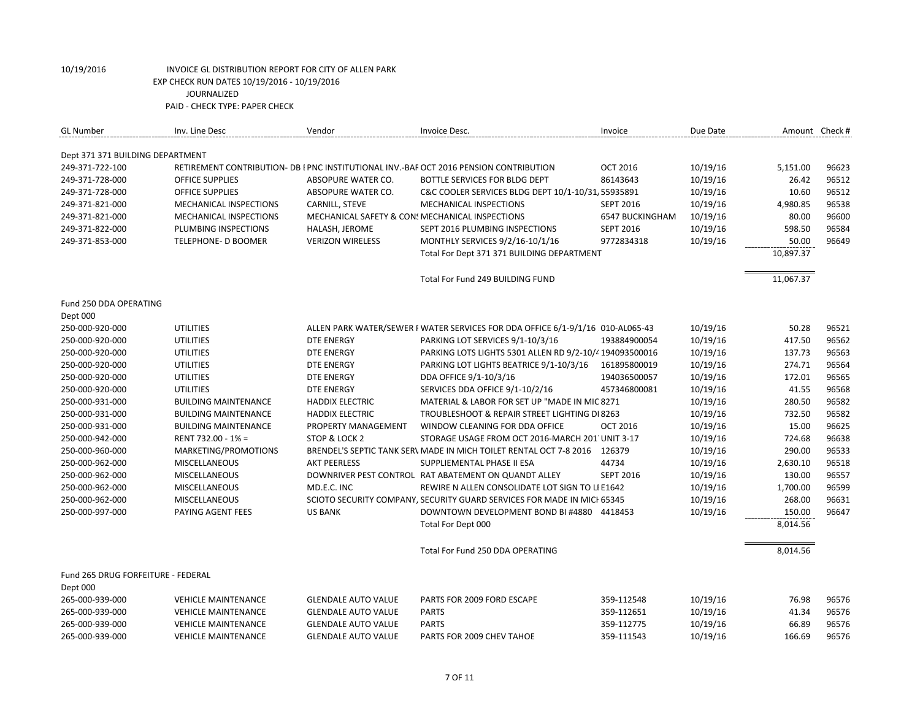| <b>GL Number</b>                   | Inv. Line Desc                | Vendor                                          | Invoice Desc.                                                                          | Invoice          | Due Date |           | Amount Check # |
|------------------------------------|-------------------------------|-------------------------------------------------|----------------------------------------------------------------------------------------|------------------|----------|-----------|----------------|
| Dept 371 371 BUILDING DEPARTMENT   |                               |                                                 |                                                                                        |                  |          |           |                |
| 249-371-722-100                    |                               |                                                 | RETIREMENT CONTRIBUTION- DB I PNC INSTITUTIONAL INV.-BAF OCT 2016 PENSION CONTRIBUTION | <b>OCT 2016</b>  | 10/19/16 | 5,151.00  | 96623          |
| 249-371-728-000                    | <b>OFFICE SUPPLIES</b>        | ABSOPURE WATER CO.                              | BOTTLE SERVICES FOR BLDG DEPT                                                          | 86143643         | 10/19/16 | 26.42     | 96512          |
| 249-371-728-000                    | <b>OFFICE SUPPLIES</b>        | ABSOPURE WATER CO.                              | C&C COOLER SERVICES BLDG DEPT 10/1-10/31, 55935891                                     |                  | 10/19/16 | 10.60     | 96512          |
| 249-371-821-000                    | <b>MECHANICAL INSPECTIONS</b> | CARNILL, STEVE                                  | <b>MECHANICAL INSPECTIONS</b>                                                          | <b>SEPT 2016</b> | 10/19/16 | 4,980.85  | 96538          |
| 249-371-821-000                    | MECHANICAL INSPECTIONS        | MECHANICAL SAFETY & CON: MECHANICAL INSPECTIONS |                                                                                        | 6547 BUCKINGHAM  | 10/19/16 | 80.00     | 96600          |
| 249-371-822-000                    | PLUMBING INSPECTIONS          | HALASH, JEROME                                  | SEPT 2016 PLUMBING INSPECTIONS                                                         | <b>SEPT 2016</b> | 10/19/16 | 598.50    | 96584          |
| 249-371-853-000                    | <b>TELEPHONE- D BOOMER</b>    | <b>VERIZON WIRELESS</b>                         | MONTHLY SERVICES 9/2/16-10/1/16                                                        | 9772834318       | 10/19/16 | 50.00     | 96649          |
|                                    |                               |                                                 | Total For Dept 371 371 BUILDING DEPARTMENT                                             |                  |          | 10,897.37 |                |
|                                    |                               |                                                 |                                                                                        |                  |          |           |                |
|                                    |                               |                                                 | Total For Fund 249 BUILDING FUND                                                       |                  |          | 11,067.37 |                |
| Fund 250 DDA OPERATING             |                               |                                                 |                                                                                        |                  |          |           |                |
| Dept 000                           |                               |                                                 |                                                                                        |                  |          |           |                |
| 250-000-920-000                    | <b>UTILITIES</b>              |                                                 | ALLEN PARK WATER/SEWER I WATER SERVICES FOR DDA OFFICE 6/1-9/1/16 010-AL065-43         |                  | 10/19/16 | 50.28     | 96521          |
| 250-000-920-000                    | <b>UTILITIES</b>              | <b>DTE ENERGY</b>                               | PARKING LOT SERVICES 9/1-10/3/16                                                       | 193884900054     | 10/19/16 | 417.50    | 96562          |
| 250-000-920-000                    | <b>UTILITIES</b>              | <b>DTE ENERGY</b>                               | PARKING LOTS LIGHTS 5301 ALLEN RD 9/2-10/4 194093500016                                |                  | 10/19/16 | 137.73    | 96563          |
| 250-000-920-000                    | <b>UTILITIES</b>              | <b>DTE ENERGY</b>                               | PARKING LOT LIGHTS BEATRICE 9/1-10/3/16                                                | 161895800019     | 10/19/16 | 274.71    | 96564          |
| 250-000-920-000                    | <b>UTILITIES</b>              | <b>DTE ENERGY</b>                               | DDA OFFICE 9/1-10/3/16                                                                 | 194036500057     | 10/19/16 | 172.01    | 96565          |
| 250-000-920-000                    | <b>UTILITIES</b>              | <b>DTE ENERGY</b>                               | SERVICES DDA OFFICE 9/1-10/2/16                                                        | 457346800081     | 10/19/16 | 41.55     | 96568          |
| 250-000-931-000                    | <b>BUILDING MAINTENANCE</b>   | <b>HADDIX ELECTRIC</b>                          | MATERIAL & LABOR FOR SET UP "MADE IN MIC 8271                                          |                  | 10/19/16 | 280.50    | 96582          |
| 250-000-931-000                    | <b>BUILDING MAINTENANCE</b>   | <b>HADDIX ELECTRIC</b>                          | TROUBLESHOOT & REPAIR STREET LIGHTING DI 8263                                          |                  | 10/19/16 | 732.50    | 96582          |
| 250-000-931-000                    | <b>BUILDING MAINTENANCE</b>   | PROPERTY MANAGEMENT                             | WINDOW CLEANING FOR DDA OFFICE                                                         | <b>OCT 2016</b>  | 10/19/16 | 15.00     | 96625          |
| 250-000-942-000                    | RENT 732.00 - 1% =            | STOP & LOCK 2                                   | STORAGE USAGE FROM OCT 2016-MARCH 201 UNIT 3-17                                        |                  | 10/19/16 | 724.68    | 96638          |
| 250-000-960-000                    | MARKETING/PROMOTIONS          |                                                 | BRENDEL'S SEPTIC TANK SER\ MADE IN MICH TOILET RENTAL OCT 7-8 2016 126379              |                  | 10/19/16 | 290.00    | 96533          |
| 250-000-962-000                    | <b>MISCELLANEOUS</b>          | <b>AKT PEERLESS</b>                             | SUPPLIEMENTAL PHASE II ESA                                                             | 44734            | 10/19/16 | 2,630.10  | 96518          |
| 250-000-962-000                    | <b>MISCELLANEOUS</b>          |                                                 | DOWNRIVER PEST CONTROL RAT ABATEMENT ON QUANDT ALLEY                                   | <b>SEPT 2016</b> | 10/19/16 | 130.00    | 96557          |
| 250-000-962-000                    | <b>MISCELLANEOUS</b>          | MD.E.C. INC                                     | REWIRE N ALLEN CONSOLIDATE LOT SIGN TO LI E1642                                        |                  | 10/19/16 | 1,700.00  | 96599          |
| 250-000-962-000                    | <b>MISCELLANEOUS</b>          |                                                 | SCIOTO SECURITY COMPANY, SECURITY GUARD SERVICES FOR MADE IN MICI 65345                |                  | 10/19/16 | 268.00    | 96631          |
| 250-000-997-000                    | PAYING AGENT FEES             | <b>US BANK</b>                                  | DOWNTOWN DEVELOPMENT BOND BI #4880 4418453                                             |                  | 10/19/16 | 150.00    | 96647          |
|                                    |                               |                                                 | Total For Dept 000                                                                     |                  |          | 8,014.56  |                |
|                                    |                               |                                                 | Total For Fund 250 DDA OPERATING                                                       |                  |          | 8,014.56  |                |
| Fund 265 DRUG FORFEITURE - FEDERAL |                               |                                                 |                                                                                        |                  |          |           |                |
| Dept 000                           |                               |                                                 |                                                                                        |                  |          |           |                |
| 265-000-939-000                    | <b>VEHICLE MAINTENANCE</b>    | <b>GLENDALE AUTO VALUE</b>                      | PARTS FOR 2009 FORD ESCAPE                                                             | 359-112548       | 10/19/16 | 76.98     | 96576          |
| 265-000-939-000                    | <b>VEHICLE MAINTENANCE</b>    | <b>GLENDALE AUTO VALUE</b>                      | <b>PARTS</b>                                                                           | 359-112651       | 10/19/16 | 41.34     | 96576          |
| 265-000-939-000                    | <b>VEHICLE MAINTENANCE</b>    | <b>GLENDALE AUTO VALUE</b>                      | <b>PARTS</b>                                                                           | 359-112775       | 10/19/16 | 66.89     | 96576          |
| 265-000-939-000                    | <b>VEHICLE MAINTENANCE</b>    | <b>GLENDALE AUTO VALUE</b>                      | PARTS FOR 2009 CHEV TAHOE                                                              | 359-111543       | 10/19/16 | 166.69    | 96576          |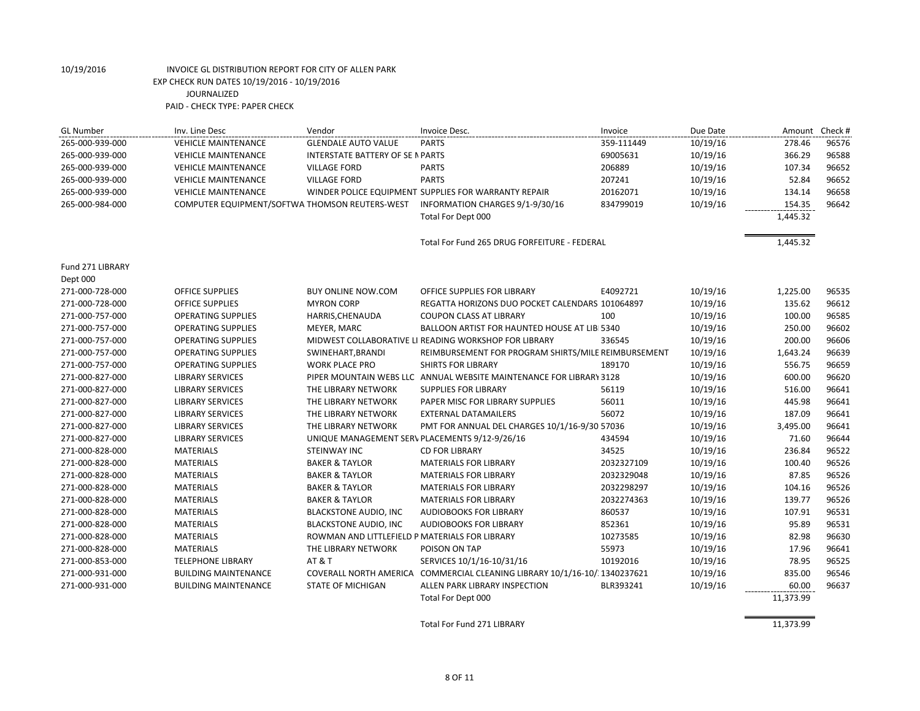| <b>GL Number</b>            | Inv. Line Desc              | Vendor                                         | Invoice Desc.                                                             | Invoice    | Due Date | Amount Check # |       |
|-----------------------------|-----------------------------|------------------------------------------------|---------------------------------------------------------------------------|------------|----------|----------------|-------|
| 265-000-939-000             | <b>VEHICLE MAINTENANCE</b>  | <b>GLENDALE AUTO VALUE</b>                     | <b>PARTS</b>                                                              | 359-111449 | 10/19/16 | 278.46         | 96576 |
| 265-000-939-000             | <b>VEHICLE MAINTENANCE</b>  | INTERSTATE BATTERY OF SE N PARTS               |                                                                           | 69005631   | 10/19/16 | 366.29         | 96588 |
| 265-000-939-000             | <b>VEHICLE MAINTENANCE</b>  | <b>VILLAGE FORD</b>                            | <b>PARTS</b>                                                              | 206889     | 10/19/16 | 107.34         | 96652 |
| 265-000-939-000             | <b>VEHICLE MAINTENANCE</b>  | <b>VILLAGE FORD</b>                            | <b>PARTS</b>                                                              | 207241     | 10/19/16 | 52.84          | 96652 |
| 265-000-939-000             | <b>VEHICLE MAINTENANCE</b>  |                                                | WINDER POLICE EQUIPMENT SUPPLIES FOR WARRANTY REPAIR                      | 20162071   | 10/19/16 | 134.14         | 96658 |
| 265-000-984-000             |                             | COMPUTER EQUIPMENT/SOFTWA THOMSON REUTERS-WEST | INFORMATION CHARGES 9/1-9/30/16                                           | 834799019  | 10/19/16 | 154.35         | 96642 |
|                             |                             |                                                | Total For Dept 000                                                        |            |          | 1,445.32       |       |
|                             |                             |                                                | Total For Fund 265 DRUG FORFEITURE - FEDERAL                              |            |          | 1,445.32       |       |
| Fund 271 LIBRARY            |                             |                                                |                                                                           |            |          |                |       |
| Dept 000<br>271-000-728-000 | <b>OFFICE SUPPLIES</b>      | <b>BUY ONLINE NOW.COM</b>                      | OFFICE SUPPLIES FOR LIBRARY                                               | E4092721   | 10/19/16 | 1,225.00       | 96535 |
| 271-000-728-000             | <b>OFFICE SUPPLIES</b>      | <b>MYRON CORP</b>                              | REGATTA HORIZONS DUO POCKET CALENDARS 101064897                           |            | 10/19/16 | 135.62         | 96612 |
| 271-000-757-000             | <b>OPERATING SUPPLIES</b>   | HARRIS, CHENAUDA                               | <b>COUPON CLASS AT LIBRARY</b>                                            | 100        | 10/19/16 | 100.00         | 96585 |
| 271-000-757-000             | <b>OPERATING SUPPLIES</b>   | MEYER, MARC                                    | BALLOON ARTIST FOR HAUNTED HOUSE AT LIB 5340                              |            | 10/19/16 | 250.00         | 96602 |
| 271-000-757-000             | <b>OPERATING SUPPLIES</b>   |                                                | MIDWEST COLLABORATIVE LI READING WORKSHOP FOR LIBRARY                     | 336545     | 10/19/16 | 200.00         | 96606 |
| 271-000-757-000             | <b>OPERATING SUPPLIES</b>   | SWINEHART, BRANDI                              | REIMBURSEMENT FOR PROGRAM SHIRTS/MILE REIMBURSEMENT                       |            | 10/19/16 | 1,643.24       | 96639 |
| 271-000-757-000             | <b>OPERATING SUPPLIES</b>   | <b>WORK PLACE PRO</b>                          | <b>SHIRTS FOR LIBRARY</b>                                                 | 189170     | 10/19/16 | 556.75         | 96659 |
| 271-000-827-000             | <b>LIBRARY SERVICES</b>     |                                                | PIPER MOUNTAIN WEBS LLC ANNUAL WEBSITE MAINTENANCE FOR LIBRARY 3128       |            | 10/19/16 | 600.00         | 96620 |
| 271-000-827-000             | <b>LIBRARY SERVICES</b>     | THE LIBRARY NETWORK                            | <b>SUPPLIES FOR LIBRARY</b>                                               | 56119      | 10/19/16 | 516.00         | 96641 |
| 271-000-827-000             | <b>LIBRARY SERVICES</b>     | THE LIBRARY NETWORK                            | PAPER MISC FOR LIBRARY SUPPLIES                                           | 56011      | 10/19/16 | 445.98         | 96641 |
| 271-000-827-000             | <b>LIBRARY SERVICES</b>     | THE LIBRARY NETWORK                            | <b>EXTERNAL DATAMAILERS</b>                                               | 56072      | 10/19/16 | 187.09         | 96641 |
| 271-000-827-000             | <b>LIBRARY SERVICES</b>     | THE LIBRARY NETWORK                            | PMT FOR ANNUAL DEL CHARGES 10/1/16-9/30 57036                             |            | 10/19/16 | 3,495.00       | 96641 |
| 271-000-827-000             | <b>LIBRARY SERVICES</b>     | UNIQUE MANAGEMENT SERV PLACEMENTS 9/12-9/26/16 |                                                                           | 434594     | 10/19/16 | 71.60          | 96644 |
| 271-000-828-000             | <b>MATERIALS</b>            | STEINWAY INC                                   | <b>CD FOR LIBRARY</b>                                                     | 34525      | 10/19/16 | 236.84         | 96522 |
| 271-000-828-000             | <b>MATERIALS</b>            | <b>BAKER &amp; TAYLOR</b>                      | <b>MATERIALS FOR LIBRARY</b>                                              | 2032327109 | 10/19/16 | 100.40         | 96526 |
| 271-000-828-000             | <b>MATERIALS</b>            | <b>BAKER &amp; TAYLOR</b>                      | <b>MATERIALS FOR LIBRARY</b>                                              | 2032329048 | 10/19/16 | 87.85          | 96526 |
| 271-000-828-000             | <b>MATERIALS</b>            | <b>BAKER &amp; TAYLOR</b>                      | <b>MATERIALS FOR LIBRARY</b>                                              | 2032298297 | 10/19/16 | 104.16         | 96526 |
| 271-000-828-000             | <b>MATERIALS</b>            | <b>BAKER &amp; TAYLOR</b>                      | <b>MATERIALS FOR LIBRARY</b>                                              | 2032274363 | 10/19/16 | 139.77         | 96526 |
| 271-000-828-000             | <b>MATERIALS</b>            | <b>BLACKSTONE AUDIO, INC</b>                   | <b>AUDIOBOOKS FOR LIBRARY</b>                                             | 860537     | 10/19/16 | 107.91         | 96531 |
| 271-000-828-000             | <b>MATERIALS</b>            | <b>BLACKSTONE AUDIO, INC</b>                   | <b>AUDIOBOOKS FOR LIBRARY</b>                                             | 852361     | 10/19/16 | 95.89          | 96531 |
| 271-000-828-000             | <b>MATERIALS</b>            | ROWMAN AND LITTLEFIELD P MATERIALS FOR LIBRARY |                                                                           | 10273585   | 10/19/16 | 82.98          | 96630 |
| 271-000-828-000             | <b>MATERIALS</b>            | THE LIBRARY NETWORK                            | POISON ON TAP                                                             | 55973      | 10/19/16 | 17.96          | 96641 |
| 271-000-853-000             | <b>TELEPHONE LIBRARY</b>    | AT & T                                         | SERVICES 10/1/16-10/31/16                                                 | 10192016   | 10/19/16 | 78.95          | 96525 |
| 271-000-931-000             | <b>BUILDING MAINTENANCE</b> |                                                | COVERALL NORTH AMERICA COMMERCIAL CLEANING LIBRARY 10/1/16-10/ 1340237621 |            | 10/19/16 | 835.00         | 96546 |
| 271-000-931-000             | <b>BUILDING MAINTENANCE</b> | <b>STATE OF MICHIGAN</b>                       | ALLEN PARK LIBRARY INSPECTION                                             | BLR393241  | 10/19/16 | 60.00          | 96637 |
|                             |                             |                                                | Total For Dept 000                                                        |            |          | 11,373.99      |       |

Total For Fund 271 LIBRARY 11,373.99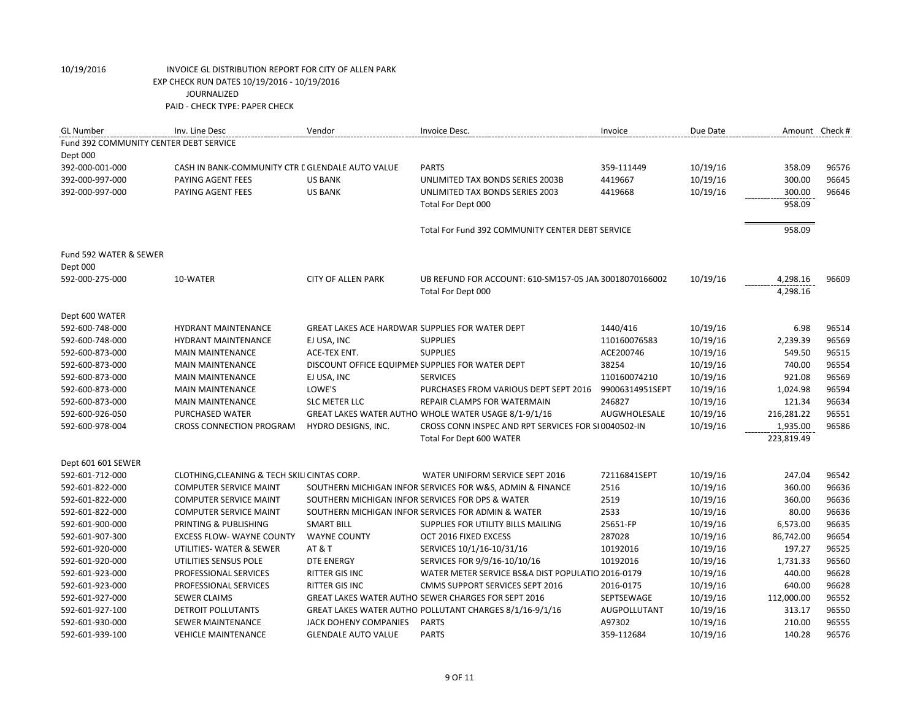| <b>GL Number</b>                       | Inv. Line Desc                                   | Vendor                                           | Invoice Desc.                                             | Invoice         | Due Date |            | Amount Check # |
|----------------------------------------|--------------------------------------------------|--------------------------------------------------|-----------------------------------------------------------|-----------------|----------|------------|----------------|
| Fund 392 COMMUNITY CENTER DEBT SERVICE |                                                  |                                                  |                                                           |                 |          |            |                |
| Dept 000                               |                                                  |                                                  |                                                           |                 |          |            |                |
| 392-000-001-000                        | CASH IN BANK-COMMUNITY CTR E GLENDALE AUTO VALUE |                                                  | <b>PARTS</b>                                              | 359-111449      | 10/19/16 | 358.09     | 96576          |
| 392-000-997-000                        | PAYING AGENT FEES                                | <b>US BANK</b>                                   | UNLIMITED TAX BONDS SERIES 2003B                          | 4419667         | 10/19/16 | 300.00     | 96645          |
| 392-000-997-000                        | <b>PAYING AGENT FEES</b>                         | <b>US BANK</b>                                   | UNLIMITED TAX BONDS SERIES 2003                           | 4419668         | 10/19/16 | 300.00     | 96646          |
|                                        |                                                  |                                                  | Total For Dept 000                                        |                 |          | 958.09     |                |
|                                        |                                                  |                                                  | Total For Fund 392 COMMUNITY CENTER DEBT SERVICE          |                 |          | 958.09     |                |
| Fund 592 WATER & SEWER                 |                                                  |                                                  |                                                           |                 |          |            |                |
| Dept 000                               |                                                  |                                                  |                                                           |                 |          |            |                |
| 592-000-275-000                        | 10-WATER                                         | <b>CITY OF ALLEN PARK</b>                        | UB REFUND FOR ACCOUNT: 610-SM157-05 JAN 30018070166002    |                 | 10/19/16 | 4,298.16   | 96609          |
|                                        |                                                  |                                                  | Total For Dept 000                                        |                 |          | 4,298.16   |                |
| Dept 600 WATER                         |                                                  |                                                  |                                                           |                 |          |            |                |
| 592-600-748-000                        | <b>HYDRANT MAINTENANCE</b>                       | GREAT LAKES ACE HARDWAR SUPPLIES FOR WATER DEPT  |                                                           | 1440/416        | 10/19/16 | 6.98       | 96514          |
| 592-600-748-000                        | <b>HYDRANT MAINTENANCE</b>                       | EJ USA, INC                                      | <b>SUPPLIES</b>                                           | 110160076583    | 10/19/16 | 2,239.39   | 96569          |
| 592-600-873-000                        | <b>MAIN MAINTENANCE</b>                          | <b>ACE-TEX ENT.</b>                              | <b>SUPPLIES</b>                                           | ACE200746       | 10/19/16 | 549.50     | 96515          |
| 592-600-873-000                        | <b>MAIN MAINTENANCE</b>                          | DISCOUNT OFFICE EQUIPMEN SUPPLIES FOR WATER DEPT |                                                           | 38254           | 10/19/16 | 740.00     | 96554          |
| 592-600-873-000                        | <b>MAIN MAINTENANCE</b>                          | EJ USA, INC                                      | <b>SERVICES</b>                                           | 110160074210    | 10/19/16 | 921.08     | 96569          |
| 592-600-873-000                        | <b>MAIN MAINTENANCE</b>                          | LOWE'S                                           | PURCHASES FROM VARIOUS DEPT SEPT 2016                     | 99006314951SEPT | 10/19/16 | 1,024.98   | 96594          |
| 592-600-873-000                        | <b>MAIN MAINTENANCE</b>                          | <b>SLC METER LLC</b>                             | REPAIR CLAMPS FOR WATERMAIN                               | 246827          | 10/19/16 | 121.34     | 96634          |
| 592-600-926-050                        | PURCHASED WATER                                  |                                                  | GREAT LAKES WATER AUTHO WHOLE WATER USAGE 8/1-9/1/16      | AUGWHOLESALE    | 10/19/16 | 216,281.22 | 96551          |
| 592-600-978-004                        | <b>CROSS CONNECTION PROGRAM</b>                  | HYDRO DESIGNS, INC.                              | CROSS CONN INSPEC AND RPT SERVICES FOR SL0040502-IN       |                 | 10/19/16 | 1,935.00   | 96586          |
|                                        |                                                  |                                                  | Total For Dept 600 WATER                                  |                 |          | 223,819.49 |                |
| Dept 601 601 SEWER                     |                                                  |                                                  |                                                           |                 |          |            |                |
| 592-601-712-000                        | CLOTHING, CLEANING & TECH SKILI CINTAS CORP.     |                                                  | WATER UNIFORM SERVICE SEPT 2016                           | 72116841SEPT    | 10/19/16 | 247.04     | 96542          |
| 592-601-822-000                        | <b>COMPUTER SERVICE MAINT</b>                    |                                                  | SOUTHERN MICHIGAN INFOR SERVICES FOR W&S, ADMIN & FINANCE | 2516            | 10/19/16 | 360.00     | 96636          |
| 592-601-822-000                        | <b>COMPUTER SERVICE MAINT</b>                    |                                                  | SOUTHERN MICHIGAN INFOR SERVICES FOR DPS & WATER          | 2519            | 10/19/16 | 360.00     | 96636          |
| 592-601-822-000                        | <b>COMPUTER SERVICE MAINT</b>                    |                                                  | SOUTHERN MICHIGAN INFOR SERVICES FOR ADMIN & WATER        | 2533            | 10/19/16 | 80.00      | 96636          |
| 592-601-900-000                        | PRINTING & PUBLISHING                            | <b>SMART BILL</b>                                | SUPPLIES FOR UTILITY BILLS MAILING                        | 25651-FP        | 10/19/16 | 6,573.00   | 96635          |
| 592-601-907-300                        | <b>EXCESS FLOW- WAYNE COUNTY</b>                 | <b>WAYNE COUNTY</b>                              | OCT 2016 FIXED EXCESS                                     | 287028          | 10/19/16 | 86,742.00  | 96654          |
| 592-601-920-000                        | UTILITIES- WATER & SEWER                         | AT&T                                             | SERVICES 10/1/16-10/31/16                                 | 10192016        | 10/19/16 | 197.27     | 96525          |
| 592-601-920-000                        | UTILITIES SENSUS POLE                            | <b>DTE ENERGY</b>                                | SERVICES FOR 9/9/16-10/10/16                              | 10192016        | 10/19/16 | 1,731.33   | 96560          |
| 592-601-923-000                        | PROFESSIONAL SERVICES                            | RITTER GIS INC                                   | WATER METER SERVICE BS&A DIST POPULATIO 2016-0179         |                 | 10/19/16 | 440.00     | 96628          |
| 592-601-923-000                        | PROFESSIONAL SERVICES                            | <b>RITTER GIS INC</b>                            | <b>CMMS SUPPORT SERVICES SEPT 2016</b>                    | 2016-0175       | 10/19/16 | 640.00     | 96628          |
| 592-601-927-000                        | <b>SEWER CLAIMS</b>                              |                                                  | GREAT LAKES WATER AUTHO SEWER CHARGES FOR SEPT 2016       | SEPTSEWAGE      | 10/19/16 | 112,000.00 | 96552          |
| 592-601-927-100                        | <b>DETROIT POLLUTANTS</b>                        |                                                  | GREAT LAKES WATER AUTHO POLLUTANT CHARGES 8/1/16-9/1/16   | AUGPOLLUTANT    | 10/19/16 | 313.17     | 96550          |
| 592-601-930-000                        | <b>SEWER MAINTENANCE</b>                         | <b>JACK DOHENY COMPANIES</b>                     | <b>PARTS</b>                                              | A97302          | 10/19/16 | 210.00     | 96555          |
| 592-601-939-100                        | <b>VEHICLE MAINTENANCE</b>                       | <b>GLENDALE AUTO VALUE</b>                       | <b>PARTS</b>                                              | 359-112684      | 10/19/16 | 140.28     | 96576          |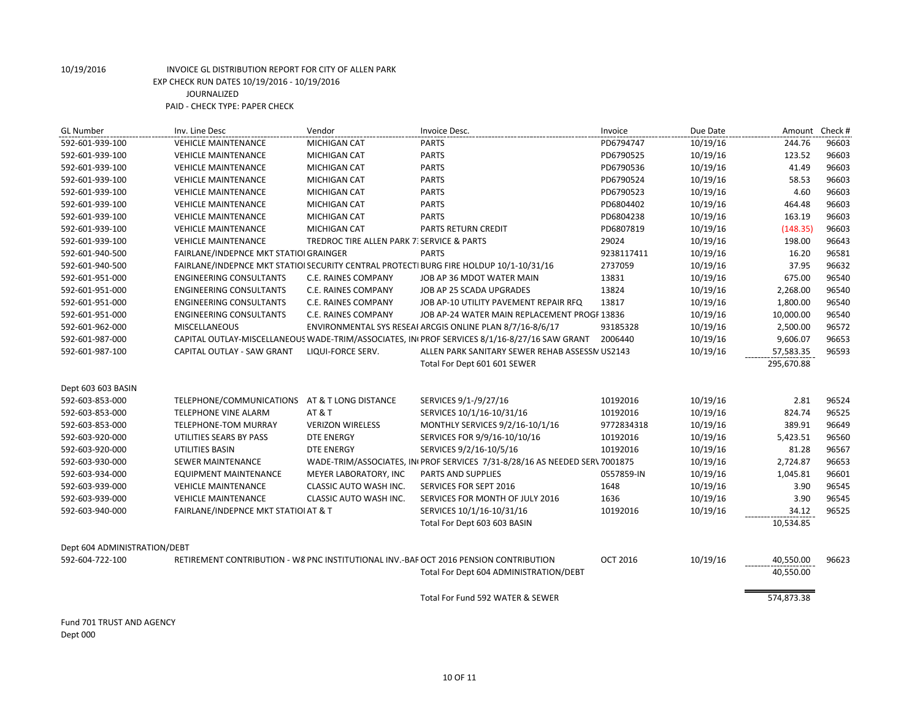| <b>GL Number</b>             | Inv. Line Desc                         | Vendor                                     | Invoice Desc.                                                                                | Invoice         | Due Date | Amount Check # |       |
|------------------------------|----------------------------------------|--------------------------------------------|----------------------------------------------------------------------------------------------|-----------------|----------|----------------|-------|
| 592-601-939-100              | <b>VEHICLE MAINTENANCE</b>             | <b>MICHIGAN CAT</b>                        | <b>PARTS</b>                                                                                 | PD6794747       | 10/19/16 | 244.76         | 96603 |
| 592-601-939-100              | <b>VEHICLE MAINTENANCE</b>             | MICHIGAN CAT                               | <b>PARTS</b>                                                                                 | PD6790525       | 10/19/16 | 123.52         | 96603 |
| 592-601-939-100              | <b>VEHICLE MAINTENANCE</b>             | <b>MICHIGAN CAT</b>                        | <b>PARTS</b>                                                                                 | PD6790536       | 10/19/16 | 41.49          | 96603 |
| 592-601-939-100              | <b>VEHICLE MAINTENANCE</b>             | <b>MICHIGAN CAT</b>                        | <b>PARTS</b>                                                                                 | PD6790524       | 10/19/16 | 58.53          | 96603 |
| 592-601-939-100              | <b>VEHICLE MAINTENANCE</b>             | <b>MICHIGAN CAT</b>                        | <b>PARTS</b>                                                                                 | PD6790523       | 10/19/16 | 4.60           | 96603 |
| 592-601-939-100              | <b>VEHICLE MAINTENANCE</b>             | MICHIGAN CAT                               | <b>PARTS</b>                                                                                 | PD6804402       | 10/19/16 | 464.48         | 96603 |
| 592-601-939-100              | <b>VEHICLE MAINTENANCE</b>             | MICHIGAN CAT                               | <b>PARTS</b>                                                                                 | PD6804238       | 10/19/16 | 163.19         | 96603 |
| 592-601-939-100              | <b>VEHICLE MAINTENANCE</b>             | MICHIGAN CAT                               | PARTS RETURN CREDIT                                                                          | PD6807819       | 10/19/16 | (148.35)       | 96603 |
| 592-601-939-100              | <b>VEHICLE MAINTENANCE</b>             | TREDROC TIRE ALLEN PARK 7: SERVICE & PARTS |                                                                                              | 29024           | 10/19/16 | 198.00         | 96643 |
| 592-601-940-500              | FAIRLANE/INDEPNCE MKT STATIOI GRAINGER |                                            | <b>PARTS</b>                                                                                 | 9238117411      | 10/19/16 | 16.20          | 96581 |
| 592-601-940-500              |                                        |                                            | FAIRLANE/INDEPNCE MKT STATIOI SECURITY CENTRAL PROTECTI BURG FIRE HOLDUP 10/1-10/31/16       | 2737059         | 10/19/16 | 37.95          | 96632 |
| 592-601-951-000              | <b>ENGINEERING CONSULTANTS</b>         | C.E. RAINES COMPANY                        | JOB AP 36 MDOT WATER MAIN                                                                    | 13831           | 10/19/16 | 675.00         | 96540 |
| 592-601-951-000              | <b>ENGINEERING CONSULTANTS</b>         | C.E. RAINES COMPANY                        | JOB AP 25 SCADA UPGRADES                                                                     | 13824           | 10/19/16 | 2,268.00       | 96540 |
| 592-601-951-000              | <b>ENGINEERING CONSULTANTS</b>         | C.E. RAINES COMPANY                        | JOB AP-10 UTILITY PAVEMENT REPAIR RFQ                                                        | 13817           | 10/19/16 | 1,800.00       | 96540 |
| 592-601-951-000              | <b>ENGINEERING CONSULTANTS</b>         | C.E. RAINES COMPANY                        | JOB AP-24 WATER MAIN REPLACEMENT PROGF 13836                                                 |                 | 10/19/16 | 10,000.00      | 96540 |
| 592-601-962-000              | <b>MISCELLANEOUS</b>                   |                                            | ENVIRONMENTAL SYS RESEAI ARCGIS ONLINE PLAN 8/7/16-8/6/17                                    | 93185328        | 10/19/16 | 2,500.00       | 96572 |
| 592-601-987-000              |                                        |                                            | CAPITAL OUTLAY-MISCELLANEOUS WADE-TRIM/ASSOCIATES, IN PROF SERVICES 8/1/16-8/27/16 SAW GRANT | 2006440         | 10/19/16 | 9,606.07       | 96653 |
| 592-601-987-100              | CAPITAL OUTLAY - SAW GRANT             | LIQUI-FORCE SERV.                          | ALLEN PARK SANITARY SEWER REHAB ASSESSN US2143                                               |                 | 10/19/16 | 57,583.35      | 96593 |
|                              |                                        |                                            | Total For Dept 601 601 SEWER                                                                 |                 |          | 295,670.88     |       |
|                              |                                        |                                            |                                                                                              |                 |          |                |       |
| Dept 603 603 BASIN           |                                        |                                            |                                                                                              |                 |          |                |       |
| 592-603-853-000              | TELEPHONE/COMMUNICATIONS               | AT & T LONG DISTANCE                       | SERVICES 9/1-/9/27/16                                                                        | 10192016        | 10/19/16 | 2.81           | 96524 |
| 592-603-853-000              | TELEPHONE VINE ALARM                   | <b>AT &amp; T</b>                          | SERVICES 10/1/16-10/31/16                                                                    | 10192016        | 10/19/16 | 824.74         | 96525 |
| 592-603-853-000              | TELEPHONE-TOM MURRAY                   | <b>VERIZON WIRELESS</b>                    | MONTHLY SERVICES 9/2/16-10/1/16                                                              | 9772834318      | 10/19/16 | 389.91         | 96649 |
| 592-603-920-000              | UTILITIES SEARS BY PASS                | <b>DTE ENERGY</b>                          | SERVICES FOR 9/9/16-10/10/16                                                                 | 10192016        | 10/19/16 | 5,423.51       | 96560 |
| 592-603-920-000              | UTILITIES BASIN                        | <b>DTE ENERGY</b>                          | SERVICES 9/2/16-10/5/16                                                                      | 10192016        | 10/19/16 | 81.28          | 96567 |
| 592-603-930-000              | SEWER MAINTENANCE                      |                                            | WADE-TRIM/ASSOCIATES, INIPROF SERVICES 7/31-8/28/16 AS NEEDED SERV 7001875                   |                 | 10/19/16 | 2,724.87       | 96653 |
| 592-603-934-000              | EQUIPMENT MAINTENANCE                  | MEYER LABORATORY, INC                      | <b>PARTS AND SUPPLIES</b>                                                                    | 0557859-IN      | 10/19/16 | 1,045.81       | 96601 |
| 592-603-939-000              | <b>VEHICLE MAINTENANCE</b>             | CLASSIC AUTO WASH INC.                     | SERVICES FOR SEPT 2016                                                                       | 1648            | 10/19/16 | 3.90           | 96545 |
| 592-603-939-000              | <b>VEHICLE MAINTENANCE</b>             | CLASSIC AUTO WASH INC.                     | SERVICES FOR MONTH OF JULY 2016                                                              | 1636            | 10/19/16 | 3.90           | 96545 |
| 592-603-940-000              | FAIRLANE/INDEPNCE MKT STATIOI AT & T   |                                            | SERVICES 10/1/16-10/31/16                                                                    | 10192016        | 10/19/16 | 34.12          | 96525 |
|                              |                                        |                                            | Total For Dept 603 603 BASIN                                                                 |                 |          | 10,534.85      |       |
| Dept 604 ADMINISTRATION/DEBT |                                        |                                            |                                                                                              |                 |          |                |       |
| 592-604-722-100              |                                        |                                            | RETIREMENT CONTRIBUTION - W8 PNC INSTITUTIONAL INV.-BAF OCT 2016 PENSION CONTRIBUTION        | <b>OCT 2016</b> | 10/19/16 | 40,550.00      | 96623 |
|                              |                                        |                                            | Total For Dept 604 ADMINISTRATION/DEBT                                                       |                 |          | 40,550.00      |       |
|                              |                                        |                                            |                                                                                              |                 |          |                |       |
|                              |                                        |                                            | Total For Fund 592 WATER & SEWER                                                             |                 |          | 574,873.38     |       |
|                              |                                        |                                            |                                                                                              |                 |          |                |       |

Fund 701 TRUST AND AGENCY Dept 000